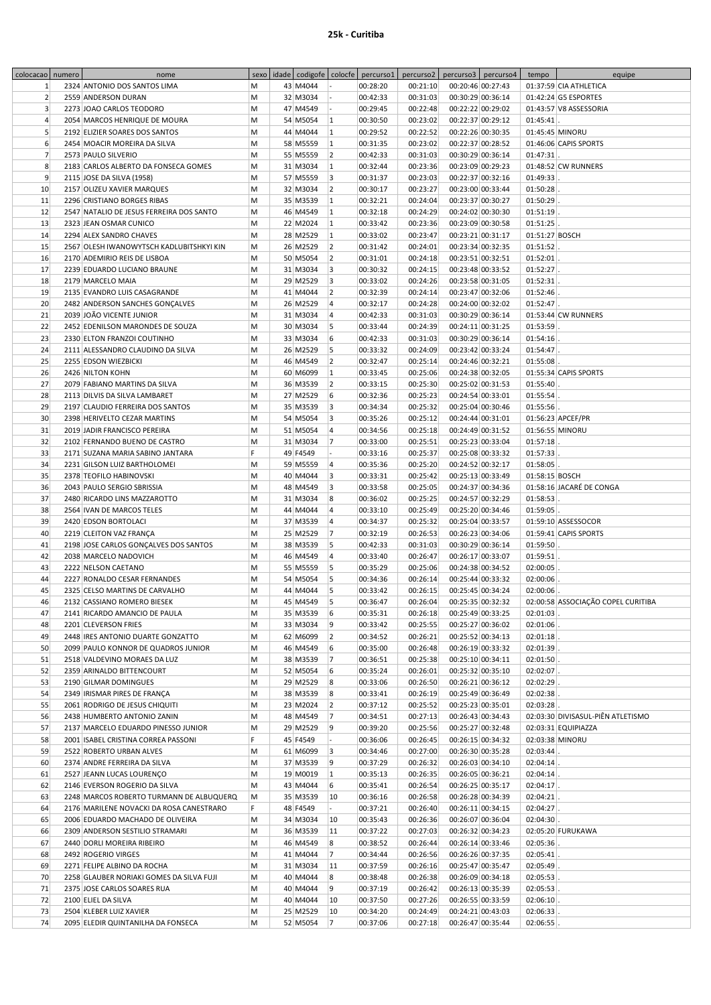| colocacao numero | nome                                     | sexo |          |           | idade codigofe colocfe percurso1 | percurso2 |                              | percurso3 percurso4 | tempo           | equipe                             |
|------------------|------------------------------------------|------|----------|-----------|----------------------------------|-----------|------------------------------|---------------------|-----------------|------------------------------------|
| $\mathbf{1}$     | 2324 ANTONIO DOS SANTOS LIMA             | M    | 43 M4044 |           | 00:28:20                         | 00:21:10  | 00:20:46 00:27:43            |                     |                 | 01:37:59 CIA ATHLETICA             |
|                  |                                          |      |          |           |                                  |           |                              |                     |                 |                                    |
| $\overline{2}$   | 2559 ANDERSON DURAN                      | M    | 32 M3034 |           | 00:42:33                         | 00:31:03  |                              | 00:30:29 00:36:14   |                 | 01:42:24 G5 ESPORTES               |
| $\overline{3}$   | 2273 JOAO CARLOS TEODORO                 | M    | 47 M4549 |           | 00:29:45                         | 00:22:48  |                              | 00:22:22 00:29:02   |                 | 01:43:57 V8 ASSESSORIA             |
| $\overline{4}$   | 2054 MARCOS HENRIQUE DE MOURA            | М    | 54 M5054 | $\vert$ 1 | 00:30:50                         | 00:23:02  |                              | 00:22:37 00:29:12   | $01:45:41$ .    |                                    |
| 5                | 2192 ELIZIER SOARES DOS SANTOS           | M    | 44 M4044 | 1         | 00:29:52                         | 00:22:52  | 00:22:26 00:30:35            |                     |                 | 01:45:45 MINORU                    |
| 6                | 2454 MOACIR MOREIRA DA SILVA             | M    | 58 M5559 | 1         | 00:31:35                         | 00:23:02  | 00:22:37 00:28:52            |                     |                 | 01:46:06 CAPIS SPORTS              |
| 7                | 2573 PAULO SILVERIO                      | M    | 55 M5559 | 2         | 00:42:33                         | 00:31:03  | 00:30:29 00:36:14            |                     | 01:47:31        |                                    |
|                  |                                          |      |          |           |                                  |           |                              |                     |                 |                                    |
| 8                | 2183 CARLOS ALBERTO DA FONSECA GOMES     | M    | 31 M3034 | $\vert$ 1 | 00:32:44                         | 00:23:36  |                              | 00:23:09 00:29:23   |                 | 01:48:52 CW RUNNERS                |
| 9                | 2115 JOSE DA SILVA (1958)                | M    | 57 M5559 | 3         | 00:31:37                         | 00:23:03  |                              | 00:22:37 00:32:16   | 01:49:33        |                                    |
| 10               | 2157 OLIZEU XAVIER MARQUES               | M    | 32 M3034 | 2         | 00:30:17                         | 00:23:27  | 00:23:00 00:33:44            |                     | 01:50:28        |                                    |
| 11               | 2296 CRISTIANO BORGES RIBAS              | M    | 35 M3539 | $\vert$ 1 | 00:32:21                         | 00:24:04  |                              | 00:23:37 00:30:27   | 01:50:29        |                                    |
| 12               | 2547 NATALIO DE JESUS FERREIRA DOS SANTO | M    | 46 M4549 | 1         | 00:32:18                         | 00:24:29  | 00:24:02 00:30:30            |                     | 01:51:19        |                                    |
| 13               | 2323 JEAN OSMAR CUNICO                   | M    | 22 M2024 | 1         | 00:33:42                         | 00:23:36  |                              | 00:23:09 00:30:58   | 01:51:25        |                                    |
|                  |                                          |      |          |           |                                  |           |                              |                     |                 |                                    |
| 14               | 2294 ALEX SANDRO CHAVES                  | M    | 28 M2529 | $\vert$ 1 | 00:33:02                         | 00:23:47  |                              | 00:23:21 00:31:17   | 01:51:27 BOSCH  |                                    |
| 15               | 2567 OLESH IWANOWYTSCH KADLUBITSHKYI KIN | M    | 26 M2529 | 2         | 00:31:42                         | 00:24:01  |                              | 00:23:34 00:32:35   | 01:51:52        |                                    |
| 16               | 2170 ADEMIRIO REIS DE LISBOA             | M    | 50 M5054 | 2         | 00:31:01                         | 00:24:18  | 00:23:51 00:32:51            |                     | 01:52:01        |                                    |
| 17               | 2239 EDUARDO LUCIANO BRAUNE              | M    | 31 M3034 | 3         | 00:30:32                         | 00:24:15  | 00:23:48 00:33:52            |                     | 01:52:27        |                                    |
| 18               | 2179 MARCELO MAIA                        | M    | 29 M2529 | 3         | 00:33:02                         | 00:24:26  |                              | 00:23:58 00:31:05   | 01:52:31        |                                    |
| 19               | 2135 EVANDRO LUIS CASAGRANDE             | M    | 41 M4044 | 2         | 00:32:39                         | 00:24:14  |                              | 00:23:47 00:32:06   | 01:52:46        |                                    |
|                  |                                          |      |          |           |                                  |           |                              |                     |                 |                                    |
| 20               | 2482 ANDERSON SANCHES GONCALVES          | M    | 26 M2529 | 4         | 00:32:17                         | 00:24:28  | 00:24:00 00:32:02            |                     | 01:52:47        |                                    |
| 21               | 2039 JOÃO VICENTE JUNIOR                 | M    | 31 M3034 | 4         | 00:42:33                         | 00:31:03  | 00:30:29 00:36:14            |                     |                 | 01:53:44 CW RUNNERS                |
| 22               | 2452 EDENILSON MARONDES DE SOUZA         | M    | 30 M3034 | 5         | 00:33:44                         | 00:24:39  | 00:24:11 00:31:25            |                     | 01:53:59        |                                    |
| 23               | 2330 ELTON FRANZOI COUTINHO              | M    | 33 M3034 | 6         | 00:42:33                         | 00:31:03  |                              | 00:30:29 00:36:14   | 01:54:16        |                                    |
| 24               | 2111 ALESSANDRO CLAUDINO DA SILVA        | М    | 26 M2529 | 5         | 00:33:32                         | 00:24:09  |                              | 00:23:42 00:33:24   | 01:54:47        |                                    |
| 25               | 2255 EDSON WIEZBICKI                     | M    | 46 M4549 | 2         | 00:32:47                         | 00:25:14  | 00:24:46 00:32:21            |                     | 01:55:08        |                                    |
|                  |                                          |      |          |           |                                  |           |                              |                     |                 |                                    |
| 26               | 2426 NILTON KOHN                         | M    | 60 M6099 | 1         | 00:33:45                         | 00:25:06  | 00:24:38 00:32:05            |                     |                 | 01:55:34 CAPIS SPORTS              |
| 27               | 2079 FABIANO MARTINS DA SILVA            | M    | 36 M3539 | 2         | 00:33:15                         | 00:25:30  | 00:25:02 00:31:53            |                     | 01:55:40        |                                    |
| 28               | 2113 DILVIS DA SILVA LAMBARET            | M    | 27 M2529 | 6         | 00:32:36                         | 00:25:23  |                              | 00:24:54 00:33:01   | 01:55:54        |                                    |
| 29               | 2197 CLAUDIO FERREIRA DOS SANTOS         | М    | 35 M3539 | 3         | 00:34:34                         | 00:25:32  |                              | 00:25:04 00:30:46   | 01:55:56        |                                    |
| 30               | 2398 HERIVELTO CEZAR MARTINS             | M    | 54 M5054 | 3         | 00:35:26                         | 00:25:12  | 00:24:44 00:31:01            |                     |                 | 01:56:23 APCEF/PR                  |
|                  |                                          |      |          |           |                                  |           |                              |                     |                 |                                    |
| 31               | 2019 JADIR FRANCISCO PEREIRA             | M    | 51 M5054 | 4         | 00:34:56                         | 00:25:18  | 00:24:49 00:31:52            |                     | 01:56:55 MINORU |                                    |
| 32               | 2102 FERNANDO BUENO DE CASTRO            | M    | 31 M3034 | 17        | 00:33:00                         | 00:25:51  | 00:25:23 00:33:04            |                     | 01:57:18        |                                    |
| 33               | 2171 SUZANA MARIA SABINO JANTARA         | F    | 49 F4549 |           | 00:33:16                         | 00:25:37  |                              | 00:25:08 00:33:32   | 01:57:33        |                                    |
| 34               | 2231 GILSON LUIZ BARTHOLOMEI             | M    | 59 M5559 | 4         | 00:35:36                         | 00:25:20  | 00:24:52 00:32:17            |                     | 01:58:05        |                                    |
| 35               | 2378 TEOFILO HABINOVSKI                  | M    | 40 M4044 | 3         | 00:33:31                         | 00:25:42  | 00:25:13 00:33:49            |                     | 01:58:15 BOSCH  |                                    |
| 36               | 2043 PAULO SERGIO SBRISSIA               | M    | 48 M4549 | 3         | 00:33:58                         | 00:25:05  |                              | 00:24:37 00:34:36   |                 | 01:58:16 JACARÉ DE CONGA           |
|                  |                                          |      |          |           |                                  |           |                              |                     |                 |                                    |
| 37               | 2480 RICARDO LINS MAZZAROTTO             | M    | 31 M3034 | 8         | 00:36:02                         | 00:25:25  | 00:24:57 00:32:29            |                     | 01:58:53        |                                    |
| 38               | 2564 IVAN DE MARCOS TELES                | M    | 44 M4044 | 4         | 00:33:10                         | 00:25:49  |                              | 00:25:20 00:34:46   | $01:59:05$ .    |                                    |
| 39               | 2420 EDSON BORTOLACI                     | M    | 37 M3539 | 4         | 00:34:37                         | 00:25:32  | 00:25:04 00:33:57            |                     |                 | 01:59:10 ASSESSOCOR                |
| 40               | 2219 CLEITON VAZ FRANÇA                  | M    | 25 M2529 | 17        | 00:32:19                         | 00:26:53  |                              | 00:26:23 00:34:06   |                 | 01:59:41 CAPIS SPORTS              |
| 41               | 2198 JOSE CARLOS GONÇALVES DOS SANTOS    | M    | 38 M3539 | 5         | 00:42:33                         | 00:31:03  | 00:30:29 00:36:14            |                     | 01:59:50        |                                    |
| 42               | 2038 MARCELO NADOVICH                    | M    |          | 4         |                                  | 00:26:47  | 00:26:17 00:33:07            |                     |                 |                                    |
|                  |                                          |      | 46 M4549 |           | 00:33:40                         |           |                              |                     | 01:59:51        |                                    |
| 43               | 2222 NELSON CAETANO                      | M    | 55 M5559 | 5         | 00:35:29                         | 00:25:06  |                              | 00:24:38 00:34:52   | 02:00:05        |                                    |
| 44               | 2227 RONALDO CESAR FERNANDES             | M    | 54 M5054 | 5         | 00:34:36                         | 00:26:14  |                              | 00:25:44 00:33:32   | 02:00:06        |                                    |
| 45               | 2325 CELSO MARTINS DE CARVALHO           | M    | 44 M4044 | 5         | 00:33:42                         | 00:26:15  | 00:25:45 00:34:24            |                     | 02:00:06        |                                    |
| 46               | 2132 CASSIANO ROMERO BIESEK              | M    | 45 M4549 | 5         | 00:36:47                         |           | $00:26:04$ 00:25:35 00:32:32 |                     |                 | 02:00:58 ASSOCIAÇÃO COPEL CURITIBA |
| 47               | 2141 RICARDO AMANCIO DE PAULA            | м    | 35 M3539 | 6         | 00:35:31                         | 00:26:18  |                              | 00:25:49 00:33:25   | 02:01:03        |                                    |
| 48               | 2201 CLEVERSON FRIES                     | м    | 33 M3034 | 9         | 00:33:42                         | 00:25:55  |                              | 00:25:27 00:36:02   | 02:01:06        |                                    |
|                  |                                          |      |          |           |                                  |           |                              |                     |                 |                                    |
| 49               | 2448 IRES ANTONIO DUARTE GONZATTO        | M    | 62 M6099 | 2         | 00:34:52                         | 00:26:21  |                              | 00:25:52 00:34:13   | 02:01:18        |                                    |
| 50               | 2099 PAULO KONNOR DE QUADROS JUNIOR      | M    | 46 M4549 | 6         | 00:35:00                         | 00:26:48  |                              | 00:26:19 00:33:32   | 02:01:39        |                                    |
| 51               | 2518 VALDEVINO MORAES DA LUZ             | M    | 38 M3539 | 17        | 00:36:51                         | 00:25:38  | 00:25:10 00:34:11            |                     | 02:01:50        |                                    |
| 52               | 2359 ARINALDO BITTENCOURT                | M    | 52 M5054 | 6         | 00:35:24                         | 00:26:01  |                              | 00:25:32 00:35:10   | 02:02:07        |                                    |
| 53               | 2190 GILMAR DOMINGUES                    | М    | 29 M2529 | 8         | 00:33:06                         | 00:26:50  |                              | 00:26:21 00:36:12   | 02:02:29        |                                    |
| 54               | 2349 IRISMAR PIRES DE FRANÇA             | М    | 38 M3539 | 8         | 00:33:41                         | 00:26:19  |                              | 00:25:49 00:36:49   | 02:02:38        |                                    |
|                  |                                          |      |          |           |                                  |           |                              |                     |                 |                                    |
| 55               | 2061 RODRIGO DE JESUS CHIQUITI           | M    | 23 M2024 | 2         | 00:37:12                         | 00:25:52  |                              | 00:25:23 00:35:01   | 02:03:28        |                                    |
| 56               | 2438 HUMBERTO ANTONIO ZANIN              | M    | 48 M4549 | 17        | 00:34:51                         | 00:27:13  |                              | 00:26:43 00:34:43   |                 | 02:03:30 DIVISASUL-PIÊN ATLETISMO  |
| 57               | 2137 MARCELO EDUARDO PINESSO JUNIOR      | M    | 29 M2529 | 9         | 00:39:20                         | 00:25:56  |                              | 00:25:27 00:32:48   |                 | 02:03:31 EQUIPIAZZA                |
| 58               | 2001 ISABEL CRISTINA CORREA PASSONI      | F    | 45 F4549 |           | 00:36:06                         | 00:26:45  |                              | 00:26:15 00:34:32   |                 | 02:03:38 MINORU                    |
| 59               | 2522 ROBERTO URBAN ALVES                 | M    | 61 M6099 | 3         | 00:34:46                         | 00:27:00  |                              | 00:26:30 00:35:28   | 02:03:44        |                                    |
| 60               | 2374 ANDRE FERREIRA DA SILVA             | M    | 37 M3539 | 9         | 00:37:29                         | 00:26:32  |                              | 00:26:03 00:34:10   | 02:04:14        |                                    |
|                  |                                          |      |          |           |                                  |           |                              |                     |                 |                                    |
| 61               | 2527 JEANN LUCAS LOURENÇO                | M    | 19 M0019 | $\vert$ 1 | 00:35:13                         | 00:26:35  | 00:26:05 00:36:21            |                     | 02:04:14        |                                    |
| 62               | 2146 EVERSON ROGERIO DA SILVA            | м    | 43 M4044 | 6         | 00:35:41                         | 00:26:54  |                              | 00:26:25 00:35:17   | 02:04:17        |                                    |
| 63               | 2248 MARCOS ROBERTO TURMANN DE ALBUQUERQ | M    | 35 M3539 | 10        | 00:36:16                         | 00:26:58  |                              | 00:26:28 00:34:39   | 02:04:21        |                                    |
| 64               | 2176 MARILENE NOVACKI DA ROSA CANESTRARO | F.   | 48 F4549 |           | 00:37:21                         | 00:26:40  |                              | 00:26:11 00:34:15   | 02:04:27        |                                    |
| 65               | 2006 EDUARDO MACHADO DE OLIVEIRA         | M    | 34 M3034 | 10        | 00:35:43                         | 00:26:36  |                              | 00:26:07 00:36:04   | 02:04:30        |                                    |
| 66               |                                          |      |          | 11        |                                  | 00:27:03  |                              |                     |                 |                                    |
|                  | 2309 ANDERSON SESTILIO STRAMARI          | M    | 36 M3539 |           | 00:37:22                         |           |                              | 00:26:32 00:34:23   |                 | 02:05:20 FURUKAWA                  |
| 67               | 2440 DORLI MOREIRA RIBEIRO               | M    | 46 M4549 | 8         | 00:38:52                         | 00:26:44  |                              | 00:26:14 00:33:46   | 02:05:36        |                                    |
| 68               | 2492 ROGERIO VIRGES                      | М    | 41 M4044 | 7         | 00:34:44                         | 00:26:56  |                              | 00:26:26 00:37:35   | 02:05:41        |                                    |
| 69               | 2271 FELIPE ALBINO DA ROCHA              | M    | 31 M3034 | 11        | 00:37:59                         | 00:26:16  |                              | 00:25:47 00:35:47   | 02:05:49        |                                    |
| 70               | 2258 GLAUBER NORIAKI GOMES DA SILVA FUJI | M    | 40 M4044 | 8         | 00:38:48                         | 00:26:38  |                              | 00:26:09 00:34:18   | 02:05:53        |                                    |
| 71               | 2375 JOSE CARLOS SOARES RUA              | M    | 40 M4044 | 9         | 00:37:19                         | 00:26:42  |                              | 00:26:13 00:35:39   | 02:05:53        |                                    |
| 72               | 2100 ELIEL DA SILVA                      | M    | 40 M4044 | 10        | 00:37:50                         | 00:27:26  |                              | 00:26:55 00:33:59   | 02:06:10        |                                    |
|                  |                                          |      |          |           |                                  |           |                              |                     |                 |                                    |
| 73               | 2504 KLEBER LUIZ XAVIER                  | М    | 25 M2529 | 10        | 00:34:20                         | 00:24:49  |                              | 00:24:21 00:43:03   | 02:06:33        |                                    |
| 74               | 2095 ELEDIR QUINTANILHA DA FONSECA       | M    | 52 M5054 | 7         | 00:37:06                         | 00:27:18  |                              | 00:26:47 00:35:44   | 02:06:55        |                                    |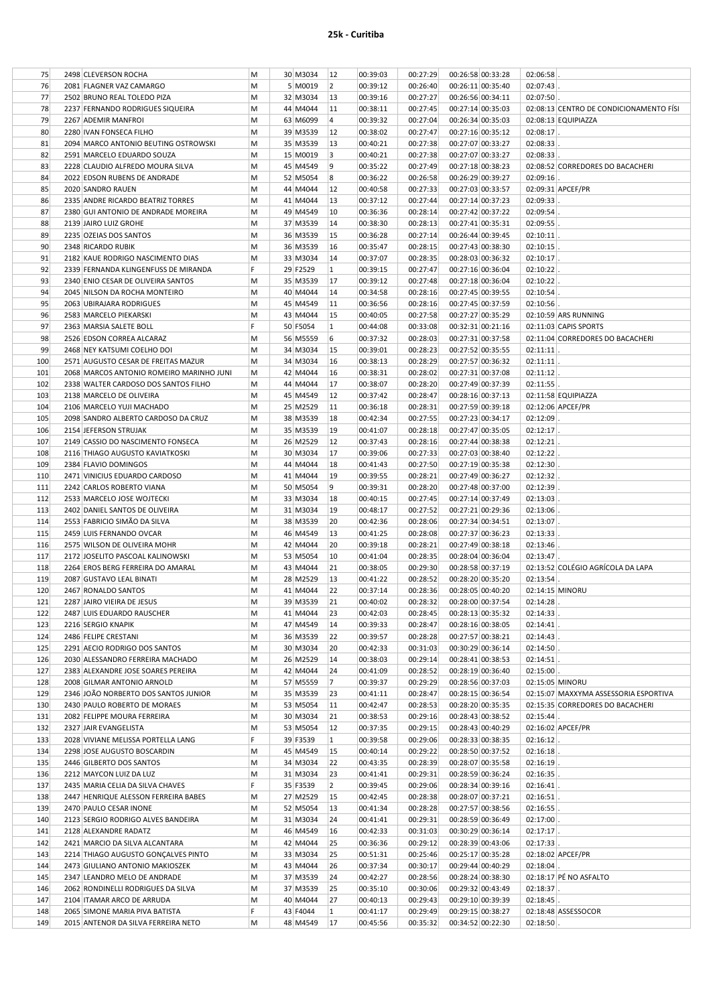| 75  | 2498 CLEVERSON ROCHA                     | M  | 30 M3034    | 12        | 00:39:03 | 00:27:29 | 00:26:58 00:33:28          | 02:06:58     |                                         |
|-----|------------------------------------------|----|-------------|-----------|----------|----------|----------------------------|--------------|-----------------------------------------|
| 76  | 2081 FLAGNER VAZ CAMARGO                 | M  | 5 M0019     | $\vert$ 2 | 00:39:12 | 00:26:40 | 00:26:11 00:35:40          | 02:07:43     |                                         |
| 77  | 2502 BRUNO REAL TOLEDO PIZA              | M  | 32 M3034    | 13        | 00:39:16 | 00:27:27 | 00:26:56 00:34:11          | 02:07:50     |                                         |
| 78  | 2237 FERNANDO RODRIGUES SIQUEIRA         | M  | 44 M4044    | 11        | 00:38:11 | 00:27:45 | 00:27:14 00:35:03          |              | 02:08:13 CENTRO DE CONDICIONAMENTO FÍSI |
| 79  | 2267 ADEMIR MANFROI                      | M  | 63 M6099    | 4         | 00:39:32 | 00:27:04 | 00:26:34 00:35:03          |              | 02:08:13 EQUIPIAZZA                     |
| 80  | 2280 IVAN FONSECA FILHO                  | M  | 39 M3539    | 12        | 00:38:02 | 00:27:47 | 00:27:16 00:35:12          | 02:08:17     |                                         |
| 81  |                                          | M  | 35 M3539    | 13        | 00:40:21 | 00:27:38 |                            | 02:08:33     |                                         |
|     | 2094 MARCO ANTONIO BEUTING OSTROWSKI     |    |             |           |          |          | 00:27:07 00:33:27          |              |                                         |
| 82  | 2591 MARCELO EDUARDO SOUZA               | M  | 15 M0019    | 3         | 00:40:21 | 00:27:38 | 00:27:07 00:33:27          | 02:08:33     |                                         |
| 83  | 2228 CLAUDIO ALFREDO MOURA SILVA         | M  | 45 M4549    | 9         | 00:35:22 | 00:27:49 | 00:27:18 00:38:23          |              | 02:08:52 CORREDORES DO BACACHERI        |
| 84  | 2022 EDSON RUBENS DE ANDRADE             | M  | 52 M5054    | 8         | 00:36:22 | 00:26:58 | 00:26:29 00:39:27          | 02:09:16     |                                         |
| 85  | 2020 SANDRO RAUEN                        | M  | 44 M4044    | 12        | 00:40:58 | 00:27:33 | 00:27:03 00:33:57          |              | 02:09:31 APCEF/PR                       |
| 86  | 2335 ANDRE RICARDO BEATRIZ TORRES        | M  | 41 M4044    | 13        | 00:37:12 | 00:27:44 | 00:27:14 00:37:23          | 02:09:33     |                                         |
| 87  | 2380 GUI ANTONIO DE ANDRADE MOREIRA      | M  | 49 M4549    | 10        | 00:36:36 | 00:28:14 | 00:27:42 00:37:22          | 02:09:54     |                                         |
| 88  | 2139 JAIRO LUIZ GROHE                    | M  | 37 M3539    | 14        | 00:38:30 | 00:28:13 | 00:27:41 00:35:31          | 02:09:55     |                                         |
| 89  | 2235 OZEIAS DOS SANTOS                   | M  | 36 M3539    | 15        | 00:36:28 | 00:27:14 | 00:26:44 00:39:45          | 02:10:11     |                                         |
| 90  | 2348 RICARDO RUBIK                       | M  | 36 M3539    | 16        | 00:35:47 | 00:28:15 | 00:27:43 00:38:30          | 02:10:15     |                                         |
|     |                                          |    |             |           |          |          |                            |              |                                         |
| 91  | 2182 KAUE RODRIGO NASCIMENTO DIAS        | M  | 33 M3034    | 14        | 00:37:07 | 00:28:35 | 00:28:03 00:36:32          | 02:10:17     |                                         |
| 92  | 2339 FERNANDA KLINGENFUSS DE MIRANDA     | F  | 29 F2529    | $\vert$ 1 | 00:39:15 | 00:27:47 | 00:27:16 00:36:04          | 02:10:22     |                                         |
| 93  | 2340 ENIO CESAR DE OLIVEIRA SANTOS       | M  | 35 M3539    | 17        | 00:39:12 | 00:27:48 | 00:27:18 00:36:04          | 02:10:22     |                                         |
| 94  | 2045 NILSON DA ROCHA MONTEIRO            | M  | 40 M4044    | 14        | 00:34:58 | 00:28:16 | 00:27:45 00:39:55          | $02:10:54$ . |                                         |
| 95  | 2063 UBIRAJARA RODRIGUES                 | M  | 45 M4549    | 11        | 00:36:56 | 00:28:16 | 00:27:45 00:37:59          | 02:10:56     |                                         |
| 96  | 2583 MARCELO PIEKARSKI                   | M  | 43 M4044    | 15        | 00:40:05 | 00:27:58 | 00:27:27 00:35:29          |              | 02:10:59 ARS RUNNING                    |
| 97  | 2363 MARSIA SALETE BOLL                  | F  | 50 F5054    | 1         | 00:44:08 | 00:33:08 | 00:32:31 00:21:16          |              | 02:11:03 CAPIS SPORTS                   |
| 98  | 2526 EDSON CORREA ALCARAZ                | M  | 56 M5559    | 6         | 00:37:32 | 00:28:03 | 00:27:31 00:37:58          |              | 02:11:04 CORREDORES DO BACACHERI        |
| 99  | 2468 NEY KATSUMI COELHO DOI              | M  | 34 M3034    | 15        | 00:39:01 | 00:28:23 | 00:27:52 00:35:55          | 02:11:11     |                                         |
| 100 | 2571 AUGUSTO CESAR DE FREITAS MAZUR      | M  | 34 M3034    | 16        | 00:38:13 | 00:28:29 | 00:27:57 00:36:32          | 02:11:11     |                                         |
|     |                                          |    |             |           |          |          |                            |              |                                         |
| 101 | 2068 MARCOS ANTONIO ROMEIRO MARINHO JUNI | M  | 42 M4044    | 16        | 00:38:31 | 00:28:02 | 00:27:31 00:37:08          | 02:11:12     |                                         |
| 102 | 2338 WALTER CARDOSO DOS SANTOS FILHO     | M  | 44 M4044    | 17        | 00:38:07 | 00:28:20 | 00:27:49 00:37:39          | $02:11:55$ . |                                         |
| 103 | 2138 MARCELO DE OLIVEIRA                 | M  | 45 M4549    | 12        | 00:37:42 | 00:28:47 | 00:28:16 00:37:13          |              | 02:11:58 EQUIPIAZZA                     |
| 104 | 2106 MARCELO YUJI MACHADO                | M  | 25 M2529    | 11        | 00:36:18 | 00:28:31 | 00:27:59 00:39:18          |              | 02:12:06 APCEF/PR                       |
| 105 | 2098 SANDRO ALBERTO CARDOSO DA CRUZ      | M  | 38 M3539    | 18        | 00:42:34 | 00:27:55 | 00:27:23 00:34:17          | 02:12:09     |                                         |
| 106 | 2154 JEFERSON STRUJAK                    | M  | 35 M3539    | 19        | 00:41:07 | 00:28:18 | 00:27:47 00:35:05          | 02:12:17     |                                         |
| 107 | 2149 CASSIO DO NASCIMENTO FONSECA        | M  | 26 M2529    | 12        | 00:37:43 | 00:28:16 | 00:27:44 00:38:38          | $02:12:21$ . |                                         |
| 108 | 2116 THIAGO AUGUSTO KAVIATKOSKI          | M  | 30 M3034    | 17        | 00:39:06 | 00:27:33 | 00:27:03 00:38:40          | 02:12:22     |                                         |
| 109 | 2384 FLAVIO DOMINGOS                     | M  | 44 M4044    | 18        | 00:41:43 | 00:27:50 | 00:27:19 00:35:38          | 02:12:30     |                                         |
| 110 | 2471 VINICIUS EDUARDO CARDOSO            | M  | 41 M4044    | 19        | 00:39:55 | 00:28:21 | 00:27:49 00:36:27          | 02:12:32     |                                         |
|     |                                          | M  |             | 9         |          |          |                            |              |                                         |
| 111 | 2242 CARLOS ROBERTO VIANA                |    | 50 M5054    |           | 00:39:31 | 00:28:20 | 00:27:48 00:37:00          | 02:12:39     |                                         |
| 112 | 2533 MARCELO JOSE WOJTECKI               | M  | 33 M3034    | 18        | 00:40:15 | 00:27:45 | 00:27:14 00:37:49          | 02:13:03     |                                         |
| 113 | 2402 DANIEL SANTOS DE OLIVEIRA           | M  | 31 M3034    | 19        | 00:48:17 | 00:27:52 | 00:27:21 00:29:36          | 02:13:06     |                                         |
| 114 | 2553 FABRICIO SIMÃO DA SILVA             | M  | 38 M3539    | 20        | 00:42:36 | 00:28:06 | 00:27:34 00:34:51          | 02:13:07     |                                         |
| 115 | 2459 LUIS FERNANDO OVCAR                 | M  | 46 M4549    | 13        | 00:41:25 | 00:28:08 | 00:27:37 00:36:23          | 02:13:33     |                                         |
| 116 | 2575 WILSON DE OLIVEIRA MOHR             | M  | 42 M4044    | 20        | 00:39:18 | 00:28:21 | 00:27:49 00:38:18          | 02:13:46     |                                         |
| 117 | 2172 JOSELITO PASCOAL KALINOWSKI         | M  | 53 M5054    | 10        | 00:41:04 | 00:28:35 | 00:28:04 00:36:04          | 02:13:47     |                                         |
| 118 | 2264 EROS BERG FERREIRA DO AMARAL        | M  | 43 M4044    | 21        | 00:38:05 | 00:29:30 | 00:28:58 00:37:19          |              | 02:13:52 COLÉGIO AGRÍCOLA DA LAPA       |
| 119 | 2087 GUSTAVO LEAL BINATI                 | M  | 28 M2529    | 13        | 00:41:22 | 00:28:52 | 00:28:20 00:35:20          | 02:13:54     |                                         |
| 120 | 2467 RONALDO SANTOS                      | M  | 41 M4044    | 22        | 00:37:14 | 00:28:36 | 00:28:05 00:40:20          |              | 02:14:15 MINORU                         |
| 121 | 2287 JAIRO VIEIRA DE JESUS               | M  | 39 M3539 21 |           | 00:40:02 |          | 00:28:32 00:28:00 00:37:54 | 02:14:28     |                                         |
|     |                                          |    |             |           |          |          |                            |              |                                         |
| 122 | 2487 LUIS EDUARDO RAUSCHER               | M  | 41 M4044    | 23        | 00:42:03 | 00:28:45 | 00:28:13 00:35:32          | $02:14:33$ . |                                         |
| 123 | 2216 SERGIO KNAPIK                       | M  | 47 M4549    | 14        | 00:39:33 | 00:28:47 | 00:28:16 00:38:05          | $02:14:41$ . |                                         |
| 124 | 2486 FELIPE CRESTANI                     | M  | 36 M3539    | 22        | 00:39:57 | 00:28:28 | 00:27:57 00:38:21          | 02:14:43     |                                         |
| 125 | 2291 AECIO RODRIGO DOS SANTOS            | M  | 30 M3034    | 20        | 00:42:33 | 00:31:03 | 00:30:29 00:36:14          | $02:14:50$ . |                                         |
| 126 | 2030 ALESSANDRO FERREIRA MACHADO         | M  | 26 M2529    | 14        | 00:38:03 | 00:29:14 | 00:28:41 00:38:53          | $02:14:51$ . |                                         |
| 127 | 2383 ALEXANDRE JOSE SOARES PEREIRA       | M  | 42 M4044    | 24        | 00:41:09 | 00:28:52 | 00:28:19 00:36:40          | $02:15:00$ . |                                         |
| 128 | 2008 GILMAR ANTONIO ARNOLD               | M  | 57 M5559    | 7         | 00:39:37 | 00:29:29 | 00:28:56 00:37:03          |              | 02:15:05 MINORU                         |
| 129 | 2346 JOÃO NORBERTO DOS SANTOS JUNIOR     | M  | 35 M3539    | 23        | 00:41:11 | 00:28:47 | 00:28:15 00:36:54          |              | 02:15:07 MAXXYMA ASSESSORIA ESPORTIVA   |
| 130 | 2430 PAULO ROBERTO DE MORAES             | М  | 53 M5054    | 11        | 00:42:47 | 00:28:53 | 00:28:20 00:35:35          |              | 02:15:35 CORREDORES DO BACACHERI        |
| 131 | 2082 FELIPPE MOURA FERREIRA              | M  | 30 M3034    | 21        | 00:38:53 | 00:29:16 | 00:28:43 00:38:52          | $02:15:44$ . |                                         |
| 132 | 2327 JAIR EVANGELISTA                    | M  | 53 M5054    | 12        | 00:37:35 | 00:29:15 | 00:28:43 00:40:29          |              | 02:16:02 APCEF/PR                       |
| 133 | 2028 VIVIANE MELISSA PORTELLA LANG       | F  | 39 F3539    | $\vert$ 1 | 00:39:58 | 00:29:06 | 00:28:33 00:38:35          | $02:16:12$ . |                                         |
|     |                                          |    |             |           |          |          |                            |              |                                         |
| 134 | 2298 JOSE AUGUSTO BOSCARDIN              | M  | 45 M4549    | 15        | 00:40:14 | 00:29:22 | 00:28:50 00:37:52          | 02:16:18     |                                         |
| 135 | 2446 GILBERTO DOS SANTOS                 | M  | 34 M3034    | 22        | 00:43:35 | 00:28:39 | 00:28:07 00:35:58          | 02:16:19     |                                         |
| 136 | 2212 MAYCON LUIZ DA LUZ                  | M  | 31 M3034    | 23        | 00:41:41 | 00:29:31 | 00:28:59 00:36:24          | 02:16:35     |                                         |
| 137 | 2435 MARIA CELIA DA SILVA CHAVES         | F. | 35 F3539    | 2         | 00:39:45 | 00:29:06 | 00:28:34 00:39:16          | $02:16:41$ . |                                         |
| 138 | 2447 HENRIQUE ALESSON FERREIRA BABES     | M  | 27 M2529    | 15        | 00:42:45 | 00:28:38 | 00:28:07 00:37:21          | 02:16:51     |                                         |
| 139 | 2470 PAULO CESAR INONE                   | M  | 52 M5054    | 13        | 00:41:34 | 00:28:28 | 00:27:57 00:38:56          | 02:16:55     |                                         |
| 140 | 2123 SERGIO RODRIGO ALVES BANDEIRA       | M  | 31 M3034    | 24        | 00:41:41 | 00:29:31 | 00:28:59 00:36:49          | 02:17:00     |                                         |
| 141 | 2128 ALEXANDRE RADATZ                    | M  | 46 M4549    | 16        | 00:42:33 | 00:31:03 | 00:30:29 00:36:14          | $02:17:17$ . |                                         |
| 142 | 2421 MARCIO DA SILVA ALCANTARA           | M  | 42 M4044    | 25        | 00:36:36 | 00:29:12 | 00:28:39 00:43:06          | $02:17:33$ . |                                         |
| 143 | 2214 THIAGO AUGUSTO GONÇALVES PINTO      | M  | 33 M3034    | 25        | 00:51:31 | 00:25:46 | 00:25:17 00:35:28          |              | 02:18:02 APCEF/PR                       |
|     |                                          |    |             |           |          |          |                            |              |                                         |
| 144 | 2473 GIULIANO ANTONIO MAKIOSZEK          | M  | 43 M4044    | 26        | 00:37:34 | 00:30:17 | 00:29:44 00:40:29          | $02:18:04$ . |                                         |
| 145 | 2347 LEANDRO MELO DE ANDRADE             | M  | 37 M3539    | 24        | 00:42:27 | 00:28:56 | 00:28:24 00:38:30          |              | 02:18:17 PÉ NO ASFALTO                  |
| 146 | 2062 RONDINELLI RODRIGUES DA SILVA       | M  | 37 M3539    | 25        | 00:35:10 | 00:30:06 | 00:29:32 00:43:49          | $02:18:37$ . |                                         |
| 147 | 2104 ITAMAR ARCO DE ARRUDA               | М  | 40 M4044    | 27        | 00:40:13 | 00:29:43 | 00:29:10 00:39:39          | $02:18:45$ . |                                         |
| 148 | 2065 SIMONE MARIA PIVA BATISTA           | F. | 43 F4044    | 1         | 00:41:17 | 00:29:49 | 00:29:15 00:38:27          |              | 02:18:48 ASSESSOCOR                     |
| 149 | 2015 ANTENOR DA SILVA FERREIRA NETO      | M  | 48 M4549    | 17        | 00:45:56 | 00:35:32 | 00:34:52 00:22:30          | 02:18:50     |                                         |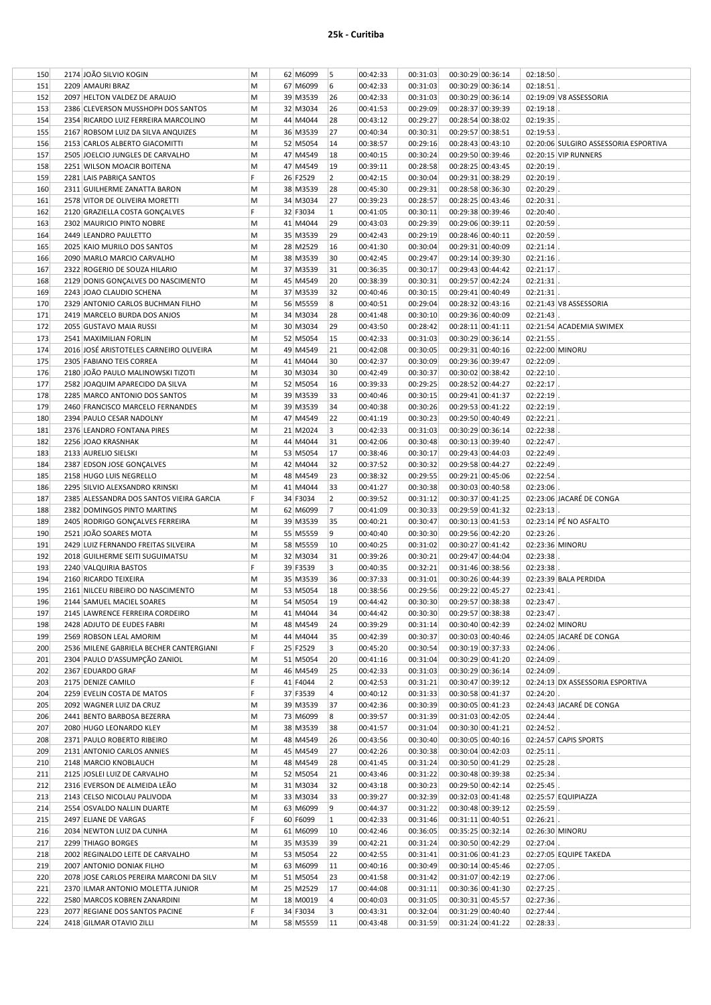| 150 | 2174 JOÃO SILVIO KOGIN                   | M | 62 M6099 | 5              | 00:42:33 | 00:31:03 | 00:30:29 00:36:14          | 02:18:50     |                                       |
|-----|------------------------------------------|---|----------|----------------|----------|----------|----------------------------|--------------|---------------------------------------|
| 151 | 2209 AMAURI BRAZ                         | M | 67 M6099 | 6              | 00:42:33 | 00:31:03 | 00:30:29 00:36:14          | 02:18:51     |                                       |
| 152 | 2097 HELTON VALDEZ DE ARAUJO             | M | 39 M3539 | 26             | 00:42:33 | 00:31:03 | 00:30:29 00:36:14          |              | 02:19:09 V8 ASSESSORIA                |
| 153 | 2386 CLEVERSON MUSSHOPH DOS SANTOS       | M | 32 M3034 | 26             | 00:41:53 | 00:29:09 | 00:28:37 00:39:39          | 02:19:18     |                                       |
| 154 | 2354 RICARDO LUIZ FERREIRA MARCOLINO     | M | 44 M4044 | 28             | 00:43:12 | 00:29:27 | 00:28:54 00:38:02          | 02:19:35     |                                       |
| 155 | 2167 ROBSOM LUIZ DA SILVA ANQUIZES       | M | 36 M3539 | 27             | 00:40:34 | 00:30:31 | 00:29:57 00:38:51          | 02:19:53     |                                       |
| 156 | 2153 CARLOS ALBERTO GIACOMITTI           | M | 52 M5054 | 14             | 00:38:57 | 00:29:16 | 00:28:43 00:43:10          |              | 02:20:06 SULGIRO ASSESSORIA ESPORTIVA |
| 157 | 2505 JOELCIO JUNGLES DE CARVALHO         | M | 47 M4549 | 18             | 00:40:15 | 00:30:24 | 00:29:50 00:39:46          |              | 02:20:15 VIP RUNNERS                  |
| 158 | 2251 WILSON MOACIR BOITENA               | M | 47 M4549 | 19             | 00:39:11 | 00:28:58 | 00:28:25 00:43:45          | 02:20:19     |                                       |
| 159 | 2281 LAIS PABRIÇA SANTOS                 | F | 26 F2529 | 2              | 00:42:15 | 00:30:04 | 00:29:31 00:38:29          | 02:20:19     |                                       |
| 160 | 2311 GUILHERME ZANATTA BARON             | M | 38 M3539 | 28             | 00:45:30 | 00:29:31 | 00:28:58 00:36:30          | 02:20:29     |                                       |
| 161 | 2578 VITOR DE OLIVEIRA MORETTI           | M | 34 M3034 | 27             | 00:39:23 | 00:28:57 | 00:28:25 00:43:46          | 02:20:31     |                                       |
| 162 | 2120 GRAZIELLA COSTA GONÇALVES           | F | 32 F3034 | $\vert$ 1      | 00:41:05 | 00:30:11 | 00:29:38 00:39:46          | 02:20:40     |                                       |
| 163 | 2302 MAURICIO PINTO NOBRE                | M | 41 M4044 | 29             | 00:43:03 | 00:29:39 | 00:29:06 00:39:11          | 02:20:59     |                                       |
| 164 | 2449 LEANDRO PAULETTO                    | M | 35 M3539 | 29             | 00:42:43 | 00:29:19 | 00:28:46 00:40:11          | 02:20:59     |                                       |
| 165 | 2025 KAIO MURILO DOS SANTOS              | M | 28 M2529 | 16             | 00:41:30 | 00:30:04 | 00:29:31 00:40:09          | 02:21:14     |                                       |
| 166 | 2090 MARLO MARCIO CARVALHO               | M | 38 M3539 | 30             | 00:42:45 | 00:29:47 | 00:29:14 00:39:30          | 02:21:16     |                                       |
| 167 | 2322 ROGERIO DE SOUZA HILARIO            | M | 37 M3539 | 31             | 00:36:35 | 00:30:17 | 00:29:43 00:44:42          | 02:21:17     |                                       |
| 168 | 2129 DONIS GONÇALVES DO NASCIMENTO       | M | 45 M4549 | 20             | 00:38:39 | 00:30:31 | 00:29:57 00:42:24          | 02:21:31     |                                       |
| 169 | 2243 JOAO CLAUDIO SCHENA                 | M | 37 M3539 | 32             | 00:40:46 | 00:30:15 | 00:29:41 00:40:49          | 02:21:31     |                                       |
| 170 | 2329 ANTONIO CARLOS BUCHMAN FILHO        | M | 56 M5559 | 8              | 00:40:51 | 00:29:04 | 00:28:32 00:43:16          |              | 02:21:43 V8 ASSESSORIA                |
| 171 | 2419 MARCELO BURDA DOS ANJOS             | M | 34 M3034 | 28             | 00:41:48 | 00:30:10 | 00:29:36 00:40:09          | 02:21:43     |                                       |
| 172 | 2055 GUSTAVO MAIA RUSSI                  | M | 30 M3034 | 29             | 00:43:50 | 00:28:42 | 00:28:11 00:41:11          |              | 02:21:54 ACADEMIA SWIMEX              |
| 173 | 2541 MAXIMILIAN FORLIN                   | M | 52 M5054 | 15             | 00:42:33 | 00:31:03 | 00:30:29 00:36:14          | 02:21:55     |                                       |
| 174 | 2016 JOSÉ ARISTOTELES CARNEIRO OLIVEIRA  | M | 49 M4549 | 21             | 00:42:08 | 00:30:05 | 00:29:31 00:40:16          |              | 02:22:00 MINORU                       |
| 175 | 2305 FABIANO TEIS CORREA                 | M | 41 M4044 | 30             | 00:42:37 | 00:30:09 | 00:29:36 00:39:47          | 02:22:09     |                                       |
| 176 | 2180 JOÃO PAULO MALINOWSKI TIZOTI        | M | 30 M3034 | 30             | 00:42:49 | 00:30:37 | 00:30:02 00:38:42          | 02:22:10     |                                       |
| 177 | 2582 JOAQUIM APARECIDO DA SILVA          | M | 52 M5054 | 16             | 00:39:33 | 00:29:25 | 00:28:52 00:44:27          | 02:22:17     |                                       |
| 178 | 2285 MARCO ANTONIO DOS SANTOS            | M | 39 M3539 | 33             | 00:40:46 | 00:30:15 | 00:29:41 00:41:37          | 02:22:19     |                                       |
| 179 | 2460 FRANCISCO MARCELO FERNANDES         | M | 39 M3539 | 34             | 00:40:38 | 00:30:26 | 00:29:53 00:41:22          | 02:22:19     |                                       |
| 180 | 2394 PAULO CESAR NADOLNY                 | M | 47 M4549 | 22             | 00:41:19 | 00:30:23 | 00:29:50 00:40:49          | 02:22:21     |                                       |
| 181 | 2376 LEANDRO FONTANA PIRES               | M | 21 M2024 | 3              | 00:42:33 | 00:31:03 | 00:30:29 00:36:14          | 02:22:38     |                                       |
| 182 | 2256 JOAO KRASNHAK                       | M | 44 M4044 | 31             | 00:42:06 | 00:30:48 | 00:30:13 00:39:40          | 02:22:47     |                                       |
| 183 | 2133 AURELIO SIELSKI                     | M | 53 M5054 | 17             | 00:38:46 | 00:30:17 | 00:29:43 00:44:03          | 02:22:49     |                                       |
| 184 | 2387 EDSON JOSE GONÇALVES                | M | 42 M4044 | 32             | 00:37:52 | 00:30:32 | 00:29:58 00:44:27          | 02:22:49     |                                       |
| 185 | 2158 HUGO LUIS NEGRELLO                  | M | 48 M4549 | 23             | 00:38:32 | 00:29:55 | 00:29:21 00:45:06          | 02:22:54     |                                       |
| 186 | 2295 SILVIO ALEXSANDRO KRINSKI           | M | 41 M4044 | 33             | 00:41:27 | 00:30:38 | 00:30:03 00:40:58          | 02:23:06     |                                       |
| 187 | 2385 ALESSANDRA DOS SANTOS VIEIRA GARCIA | F | 34 F3034 | $\overline{2}$ | 00:39:52 | 00:31:12 | 00:30:37 00:41:25          |              | 02:23:06 JACARÉ DE CONGA              |
| 188 | 2382 DOMINGOS PINTO MARTINS              | M | 62 M6099 | 17             | 00:41:09 | 00:30:33 | 00:29:59 00:41:32          | 02:23:13     |                                       |
| 189 | 2405 RODRIGO GONÇALVES FERREIRA          | M | 39 M3539 | 35             | 00:40:21 | 00:30:47 | 00:30:13 00:41:53          |              | 02:23:14 PÉ NO ASFALTO                |
| 190 | 2521 JOÃO SOARES MOTA                    | M | 55 M5559 | 9              | 00:40:40 | 00:30:30 | 00:29:56 00:42:20          | 02:23:26     |                                       |
| 191 | 2429 LUIZ FERNANDO FREITAS SILVEIRA      | M | 58 M5559 | 10             | 00:40:25 | 00:31:02 | 00:30:27 00:41:42          |              | 02:23:36 MINORU                       |
| 192 | 2018 GUILHERME SEITI SUGUIMATSU          | M | 32 M3034 | 31             | 00:39:26 | 00:30:21 | 00:29:47 00:44:04          | $02:23:38$ . |                                       |
| 193 | 2240 VALQUIRIA BASTOS                    | F | 39 F3539 | 3              | 00:40:35 | 00:32:21 | 00:31:46 00:38:56          | $02:23:38$ . |                                       |
| 194 | 2160 RICARDO TEIXEIRA                    | M | 35 M3539 | 36             | 00:37:33 | 00:31:01 | 00:30:26 00:44:39          |              | 02:23:39 BALA PERDIDA                 |
| 195 | 2161 NILCEU RIBEIRO DO NASCIMENTO        | M | 53 M5054 | 18             | 00:38:56 | 00:29:56 | 00:29:22 00:45:27          | 02:23:41     |                                       |
| 196 | 2144 SAMUEL MACIEL SOARES                | M | 54 M5054 | 19             | 00:44:42 |          | 00:30:30 00:29:57 00:38:38 | $02:23:47$ . |                                       |
| 197 | 2145 LAWRENCE FERREIRA CORDEIRO          | M | 41 M4044 | 34             | 00:44:42 | 00:30:30 | 00:29:57 00:38:38          | $02:23:47$ . |                                       |
| 198 | 2428 ADJUTO DE EUDES FABRI               | M | 48 M4549 | 24             | 00:39:29 | 00:31:14 | 00:30:40 00:42:39          |              | 02:24:02 MINORU                       |
| 199 | 2569 ROBSON LEAL AMORIM                  | M | 44 M4044 | 35             | 00:42:39 | 00:30:37 | 00:30:03 00:40:46          |              | 02:24:05 JACARÉ DE CONGA              |
| 200 | 2536 MILENE GABRIELA BECHER CANTERGIANI  | F | 25 F2529 | 3              | 00:45:20 | 00:30:54 | 00:30:19 00:37:33          | 02:24:06     |                                       |
| 201 | 2304 PAULO D'ASSUMPÇÃO ZANIOL            | M | 51 M5054 | 20             | 00:41:16 | 00:31:04 | 00:30:29 00:41:20          | $02:24:09$ . |                                       |
| 202 | 2367 EDUARDO GRAF                        | M | 46 M4549 | 25             | 00:42:33 | 00:31:03 | 00:30:29 00:36:14          | $02:24:09$ . |                                       |
| 203 | 2175 DENIZE CAMILO                       | F | 41 F4044 | 2              | 00:42:53 | 00:31:21 | 00:30:47 00:39:12          |              | 02:24:13 DX ASSESSORIA ESPORTIVA      |
| 204 | 2259 EVELIN COSTA DE MATOS               | F | 37 F3539 | 4              | 00:40:12 | 00:31:33 | 00:30:58 00:41:37          | 02:24:20     |                                       |
| 205 | 2092 WAGNER LUIZ DA CRUZ                 | M | 39 M3539 | 37             | 00:42:36 | 00:30:39 | 00:30:05 00:41:23          |              | 02:24:43 JACARÉ DE CONGA              |
| 206 | 2441 BENTO BARBOSA BEZERRA               | M | 73 M6099 | 8              | 00:39:57 | 00:31:39 | 00:31:03 00:42:05          | $02:24:44$ . |                                       |
| 207 | 2080 HUGO LEONARDO KLEY                  | M | 38 M3539 | 38             | 00:41:57 | 00:31:04 | 00:30:30 00:41:21          | $02:24:52$ . |                                       |
| 208 | 2371 PAULO ROBERTO RIBEIRO               | M | 48 M4549 | 26             | 00:43:56 | 00:30:40 | 00:30:05 00:40:16          |              | 02:24:57 CAPIS SPORTS                 |
| 209 | 2131 ANTONIO CARLOS ANNIES               | M | 45 M4549 | 27             | 00:42:26 | 00:30:38 | 00:30:04 00:42:03          | 02:25:11     |                                       |
| 210 | 2148 MARCIO KNOBLAUCH                    | M | 48 M4549 | 28             | 00:41:45 | 00:31:24 | 00:30:50 00:41:29          | $02:25:28$ . |                                       |
| 211 | 2125 JOSLEI LUIZ DE CARVALHO             | M | 52 M5054 | 21             | 00:43:46 | 00:31:22 | 00:30:48 00:39:38          | $02:25:34$ . |                                       |
| 212 | 2316 EVERSON DE ALMEIDA LEÃO             | M | 31 M3034 | 32             | 00:43:18 | 00:30:23 | 00:29:50 00:42:14          | $02:25:45$ . |                                       |
| 213 | 2143 CELSO NICOLAU PALIVODA              | M | 33 M3034 | 33             | 00:39:27 | 00:32:39 | 00:32:03 00:41:48          |              | 02:25:57 EQUIPIAZZA                   |
| 214 | 2554 OSVALDO NALLIN DUARTE               | M | 63 M6099 | 9              | 00:44:37 | 00:31:22 | 00:30:48 00:39:12          | $02:25:59$ . |                                       |
| 215 | 2497 ELIANE DE VARGAS                    | F | 60 F6099 | $\vert$ 1      | 00:42:33 | 00:31:46 | 00:31:11 00:40:51          | $02:26:21$ . |                                       |
| 216 | 2034 NEWTON LUIZ DA CUNHA                | M | 61 M6099 | 10             | 00:42:46 | 00:36:05 | 00:35:25 00:32:14          |              | 02:26:30 MINORU                       |
| 217 | 2299 THIAGO BORGES                       | M | 35 M3539 | 39             | 00:42:21 | 00:31:24 | 00:30:50 00:42:29          | $02:27:04$ . |                                       |
| 218 | 2002 REGINALDO LEITE DE CARVALHO         | M | 53 M5054 | 22             | 00:42:55 | 00:31:41 | 00:31:06 00:41:23          |              | 02:27:05 EQUIPE TAKEDA                |
| 219 | 2007 ANTONIO DONIAK FILHO                | M | 63 M6099 | 11             | 00:40:16 | 00:30:49 | 00:30:14 00:45:46          | 02:27:05     |                                       |
| 220 |                                          |   | 51 M5054 | 23             | 00:41:58 | 00:31:42 | 00:31:07 00:42:19          | $02:27:06$ . |                                       |
|     | 2078 JOSE CARLOS PEREIRA MARCONI DA SILV | M |          |                |          |          |                            |              |                                       |
| 221 | 2370 ILMAR ANTONIO MOLETTA JUNIOR        | M | 25 M2529 | 17             | 00:44:08 | 00:31:11 | 00:30:36 00:41:30          | $02:27:25$ . |                                       |
| 222 | 2580 MARCOS KOBREN ZANARDINI             | M | 18 M0019 | 4              | 00:40:03 | 00:31:05 | 00:30:31 00:45:57          | $02:27:36$ . |                                       |
| 223 | 2077 REGIANE DOS SANTOS PACINE           | F | 34 F3034 | 3              | 00:43:31 | 00:32:04 | 00:31:29 00:40:40          | $02:27:44$ . |                                       |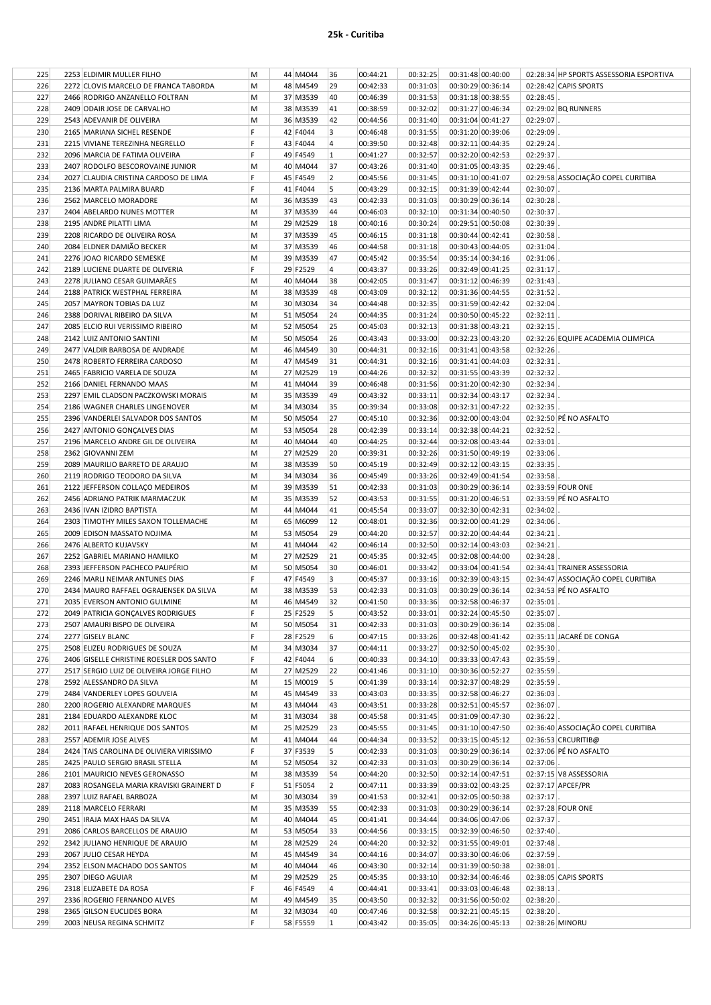| 225 | 2253 ELDIMIR MULLER FILHO                | M  | 44 M4044 | 36             | 00:44:21 | 00:32:25 | 00:31:48 00:40:00 | 02:28:34 HP SPORTS ASSESSORIA ESPORTIVA |
|-----|------------------------------------------|----|----------|----------------|----------|----------|-------------------|-----------------------------------------|
| 226 | 2272 CLOVIS MARCELO DE FRANCA TABORDA    | M  | 48 M4549 | 29             | 00:42:33 | 00:31:03 | 00:30:29 00:36:14 | 02:28:42 CAPIS SPORTS                   |
| 227 | 2466 RODRIGO ANZANELLO FOLTRAN           | M  | 37 M3539 | 40             | 00:46:39 | 00:31:53 | 00:31:18 00:38:55 | 02:28:45                                |
| 228 | 2409 ODAIR JOSE DE CARVALHO              | M  | 38 M3539 | 41             | 00:38:59 | 00:32:02 | 00:31:27 00:46:34 | 02:29:02 BQ RUNNERS                     |
| 229 | 2543 ADEVANIR DE OLIVEIRA                | M  | 36 M3539 | 42             | 00:44:56 | 00:31:40 | 00:31:04 00:41:27 | 02:29:07                                |
| 230 | 2165 MARIANA SICHEL RESENDE              | F  | 42 F4044 | 3              | 00:46:48 | 00:31:55 | 00:31:20 00:39:06 | 02:29:09                                |
|     |                                          | F  |          |                |          |          |                   |                                         |
| 231 | 2215 VIVIANE TEREZINHA NEGRELLO          |    | 43 F4044 | $\overline{4}$ | 00:39:50 | 00:32:48 | 00:32:11 00:44:35 | 02:29:24                                |
| 232 | 2096 MARCIA DE FATIMA OLIVEIRA           | F  | 49 F4549 | 1              | 00:41:27 | 00:32:57 | 00:32:20 00:42:53 | 02:29:37                                |
| 233 | 2407 RODOLFO BESCOROVAINE JUNIOR         | M  | 40 M4044 | 37             | 00:43:26 | 00:31:40 | 00:31:05 00:43:35 | 02:29:46                                |
| 234 | 2027 CLAUDIA CRISTINA CARDOSO DE LIMA    | F  | 45 F4549 | $\overline{2}$ | 00:45:56 | 00:31:45 | 00:31:10 00:41:07 | 02:29:58 ASSOCIAÇÃO COPEL CURITIBA      |
| 235 | 2136 MARTA PALMIRA BUARD                 | F  | 41 F4044 | 5              | 00:43:29 | 00:32:15 | 00:31:39 00:42:44 | 02:30:07                                |
| 236 | 2562 MARCELO MORADORE                    | M  | 36 M3539 | 43             | 00:42:33 | 00:31:03 | 00:30:29 00:36:14 | 02:30:28                                |
| 237 | 2404 ABELARDO NUNES MOTTER               | M  | 37 M3539 | 44             | 00:46:03 | 00:32:10 | 00:31:34 00:40:50 | 02:30:37                                |
| 238 | 2195 ANDRE PILATTI LIMA                  | M  | 29 M2529 | 18             | 00:40:16 | 00:30:24 | 00:29:51 00:50:08 | 02:30:39                                |
| 239 | 2208 RICARDO DE OLIVEIRA ROSA            | M  | 37 M3539 | 45             | 00:46:15 | 00:31:18 | 00:30:44 00:42:41 | 02:30:58                                |
| 240 | 2084 ELDNER DAMIÃO BECKER                | M  | 37 M3539 | 46             | 00:44:58 | 00:31:18 | 00:30:43 00:44:05 | 02:31:04                                |
| 241 | 2276 JOAO RICARDO SEMESKE                | M  | 39 M3539 | 47             | 00:45:42 | 00:35:54 | 00:35:14 00:34:16 | 02:31:06                                |
|     |                                          | F  |          |                |          |          |                   |                                         |
| 242 | 2189 LUCIENE DUARTE DE OLIVERIA          |    | 29 F2529 | $\overline{4}$ | 00:43:37 | 00:33:26 | 00:32:49 00:41:25 | 02:31:17                                |
| 243 | 2278 JULIANO CESAR GUIMARÃES             | M  | 40 M4044 | 38             | 00:42:05 | 00:31:47 | 00:31:12 00:46:39 | 02:31:43                                |
| 244 | 2188 PATRICK WESTPHAL FERREIRA           | M  | 38 M3539 | 48             | 00:43:09 | 00:32:12 | 00:31:36 00:44:55 | 02:31:52                                |
| 245 | 2057 MAYRON TOBIAS DA LUZ                | M  | 30 M3034 | 34             | 00:44:48 | 00:32:35 | 00:31:59 00:42:42 | 02:32:04                                |
| 246 | 2388 DORIVAL RIBEIRO DA SILVA            | M  | 51 M5054 | 24             | 00:44:35 | 00:31:24 | 00:30:50 00:45:22 | 02:32:11                                |
| 247 | 2085 ELCIO RUI VERISSIMO RIBEIRO         | M  | 52 M5054 | 25             | 00:45:03 | 00:32:13 | 00:31:38 00:43:21 | 02:32:15                                |
| 248 | 2142 LUIZ ANTONIO SANTINI                | M  | 50 M5054 | 26             | 00:43:43 | 00:33:00 | 00:32:23 00:43:20 | 02:32:26 EQUIPE ACADEMIA OLIMPICA       |
| 249 | 2477 VALDIR BARBOSA DE ANDRADE           | М  | 46 M4549 | 30             | 00:44:31 | 00:32:16 | 00:31:41 00:43:58 | 02:32:26                                |
| 250 | 2478 ROBERTO FERREIRA CARDOSO            | M  | 47 M4549 | 31             | 00:44:31 | 00:32:16 | 00:31:41 00:44:03 | 02:32:31                                |
| 251 | 2465 FABRICIO VARELA DE SOUZA            | M  | 27 M2529 | 19             | 00:44:26 | 00:32:32 | 00:31:55 00:43:39 | 02:32:32                                |
| 252 | 2166 DANIEL FERNANDO MAAS                | M  | 41 M4044 | 39             | 00:46:48 | 00:31:56 | 00:31:20 00:42:30 | 02:32:34                                |
|     |                                          |    |          |                |          |          |                   |                                         |
| 253 | 2297 EMIL CLADSON PACZKOWSKI MORAIS      | M  | 35 M3539 | 49             | 00:43:32 | 00:33:11 | 00:32:34 00:43:17 | 02:32:34                                |
| 254 | 2186 WAGNER CHARLES LINGENOVER           | M  | 34 M3034 | 35             | 00:39:34 | 00:33:08 | 00:32:31 00:47:22 | 02:32:35                                |
| 255 | 2396 VANDERLEI SALVADOR DOS SANTOS       | M  | 50 M5054 | 27             | 00:45:10 | 00:32:36 | 00:32:00 00:43:04 | 02:32:50 PÉ NO ASFALTO                  |
| 256 | 2427 ANTONIO GONÇALVES DIAS              | M  | 53 M5054 | 28             | 00:42:39 | 00:33:14 | 00:32:38 00:44:21 | 02:32:52                                |
| 257 | 2196 MARCELO ANDRE GIL DE OLIVEIRA       | M  | 40 M4044 | 40             | 00:44:25 | 00:32:44 | 00:32:08 00:43:44 | 02:33:01                                |
| 258 | 2362 GIOVANNI ZEM                        | M  | 27 M2529 | 20             | 00:39:31 | 00:32:26 | 00:31:50 00:49:19 | 02:33:06                                |
| 259 | 2089 MAURILIO BARRETO DE ARAUJO          | М  | 38 M3539 | 50             | 00:45:19 | 00:32:49 | 00:32:12 00:43:15 | 02:33:35                                |
| 260 | 2119 RODRIGO TEODORO DA SILVA            | M  | 34 M3034 | 36             | 00:45:49 | 00:33:26 | 00:32:49 00:41:54 | 02:33:58                                |
| 261 | 2122 JEFFERSON COLLAÇO MEDEIROS          | M  | 39 M3539 | 51             | 00:42:33 | 00:31:03 | 00:30:29 00:36:14 | 02:33:59 FOUR ONE                       |
| 262 | 2456 ADRIANO PATRIK MARMACZUK            | M  | 35 M3539 | 52             | 00:43:53 | 00:31:55 | 00:31:20 00:46:51 | 02:33:59 PÉ NO ASFALTO                  |
| 263 | 2436 IVAN IZIDRO BAPTISTA                | м  | 44 M4044 | 41             | 00:45:54 | 00:33:07 | 00:32:30 00:42:31 | 02:34:02                                |
| 264 |                                          |    | 65 M6099 | 12             | 00:48:01 | 00:32:36 | 00:32:00 00:41:29 | 02:34:06                                |
|     | 2303 TIMOTHY MILES SAXON TOLLEMACHE      | M  |          |                |          |          |                   |                                         |
| 265 | 2009 EDISON MASSATO NOJIMA               | M  | 53 M5054 | 29             | 00:44:20 | 00:32:57 | 00:32:20 00:44:44 | 02:34:21                                |
| 266 | 2476 ALBERTO KUJAVSKY                    | M  | 41 M4044 | 42             | 00:46:14 | 00:32:50 | 00:32:14 00:43:03 | 02:34:21                                |
| 267 | 2252 GABRIEL MARIANO HAMILKO             | M  | 27 M2529 | 21             | 00:45:35 | 00:32:45 | 00:32:08 00:44:00 | 02:34:28                                |
| 268 | 2393 JEFFERSON PACHECO PAUPÉRIO          | м  | 50 M5054 | 30             | 00:46:01 | 00:33:42 | 00:33:04 00:41:54 | 02:34:41 TRAINER ASSESSORIA             |
| 269 | 2246 MARLI NEIMAR ANTUNES DIAS           | F. | 47 F4549 | 3              | 00:45:37 | 00:33:16 | 00:32:39 00:43:15 | 02:34:47 ASSOCIAÇÃO COPEL CURITIBA      |
| 270 | 2434 MAURO RAFFAEL OGRAJENSEK DA SILVA   | M  | 38 M3539 | 53             | 00:42:33 | 00:31:03 | 00:30:29 00:36:14 | 02:34:53 PÉ NO ASFALTO                  |
| 271 | 2035 EVERSON ANTONIO GULMINE             | M  | 46 M4549 | 32             | 00:41:50 | 00:33:36 | 00:32:58 00:46:37 | 02:35:01                                |
| 272 | 2049 PATRICIA GONÇALVES RODRIGUES        | F  | 25 F2529 | 5              | 00:43:52 | 00:33:01 | 00:32:24 00:45:50 | $02:35:07$ .                            |
| 273 | 2507 AMAURI BISPO DE OLIVEIRA            | M  | 50 M5054 | 31             | 00:42:33 | 00:31:03 | 00:30:29 00:36:14 | 02:35:08                                |
| 274 | 2277 GISELY BLANC                        | F  | 28 F2529 | 6              | 00:47:15 | 00:33:26 | 00:32:48 00:41:42 | 02:35:11 JACARÉ DE CONGA                |
| 275 | 2508 ELIZEU RODRIGUES DE SOUZA           | M  | 34 M3034 | 37             | 00:44:11 | 00:33:27 | 00:32:50 00:45:02 | 02:35:30                                |
| 276 | 2406 GISELLE CHRISTINE ROESLER DOS SANTO | F  | 42 F4044 | 6              | 00:40:33 | 00:34:10 | 00:33:33 00:47:43 | 02:35:59                                |
|     |                                          |    | 27 M2529 |                |          |          |                   |                                         |
| 277 | 2517 SERGIO LUIZ DE OLIVEIRA JORGE FILHO | М  |          | 22             | 00:41:46 | 00:31:10 | 00:30:36 00:52:27 | 02:35:59                                |
| 278 | 2592 ALESSANDRO DA SILVA                 | М  | 15 M0019 | 5              | 00:41:39 | 00:33:14 | 00:32:37 00:48:29 | 02:35:59                                |
| 279 | 2484 VANDERLEY LOPES GOUVEIA             | M  | 45 M4549 | 33             | 00:43:03 | 00:33:35 | 00:32:58 00:46:27 | 02:36:03                                |
| 280 | 2200 ROGERIO ALEXANDRE MARQUES           | M  | 43 M4044 | 43             | 00:43:51 | 00:33:28 | 00:32:51 00:45:57 | 02:36:07                                |
| 281 | 2184 EDUARDO ALEXANDRE KLOC              | M  | 31 M3034 | 38             | 00:45:58 | 00:31:45 | 00:31:09 00:47:30 | $02:36:22$ .                            |
| 282 | 2011 RAFAEL HENRIQUE DOS SANTOS          | М  | 25 M2529 | 23             | 00:45:55 | 00:31:45 | 00:31:10 00:47:50 | 02:36:40 ASSOCIAÇÃO COPEL CURITIBA      |
| 283 | 2557 ADEMIR JOSE ALVES                   | M  | 41 M4044 | 44             | 00:44:34 | 00:33:52 | 00:33:15 00:45:12 | 02:36:53 CRCURITIB@                     |
| 284 | 2424 TAIS CAROLINA DE OLIVIERA VIRISSIMO | F  | 37 F3539 | 5              | 00:42:33 | 00:31:03 | 00:30:29 00:36:14 | 02:37:06 PÉ NO ASFALTO                  |
| 285 | 2425 PAULO SERGIO BRASIL STELLA          | M  | 52 M5054 | 32             | 00:42:33 | 00:31:03 | 00:30:29 00:36:14 | 02:37:06                                |
| 286 | 2101 MAURICIO NEVES GERONASSO            | M  | 38 M3539 | 54             | 00:44:20 | 00:32:50 | 00:32:14 00:47:51 | 02:37:15 V8 ASSESSORIA                  |
| 287 | 2083 ROSANGELA MARIA KRAVISKI GRAINERT D | F. | 51 F5054 | $\overline{2}$ | 00:47:11 | 00:33:39 | 00:33:02 00:43:25 | 02:37:17 APCEF/PR                       |
| 288 | 2397 LUIZ RAFAEL BARBOZA                 | М  | 30 M3034 | 39             | 00:41:53 | 00:32:41 | 00:32:05 00:50:38 | $02:37:17$ .                            |
|     | 2118 MARCELO FERRARI                     |    |          |                |          |          |                   |                                         |
| 289 |                                          | М  | 35 M3539 | 55             | 00:42:33 | 00:31:03 | 00:30:29 00:36:14 | 02:37:28 FOUR ONE                       |
| 290 | 2451 IRAJA MAX HAAS DA SILVA             | M  | 40 M4044 | 45             | 00:41:41 | 00:34:44 | 00:34:06 00:47:06 | 02:37:37                                |
| 291 | 2086 CARLOS BARCELLOS DE ARAUJO          | м  | 53 M5054 | 33             | 00:44:56 | 00:33:15 | 00:32:39 00:46:50 | 02:37:40                                |
| 292 | 2342 JULIANO HENRIQUE DE ARAUJO          | М  | 28 M2529 | 24             | 00:44:20 | 00:32:32 | 00:31:55 00:49:01 | 02:37:48                                |
| 293 | 2067 JULIO CESAR HEYDA                   | М  | 45 M4549 | 34             | 00:44:16 | 00:34:07 | 00:33:30 00:46:06 | 02:37:59                                |
| 294 | 2352 ELSON MACHADO DOS SANTOS            | М  | 40 M4044 | 46             | 00:43:30 | 00:32:14 | 00:31:39 00:50:38 | 02:38:01                                |
| 295 | 2307 DIEGO AGUIAR                        | M  | 29 M2529 | 25             | 00:45:35 | 00:33:10 | 00:32:34 00:46:46 | 02:38:05 CAPIS SPORTS                   |
| 296 | 2318 ELIZABETE DA ROSA                   | F. | 46 F4549 | 4              | 00:44:41 | 00:33:41 | 00:33:03 00:46:48 | $02:38:13$ .                            |
| 297 | 2336 ROGERIO FERNANDO ALVES              | М  | 49 M4549 | 35             | 00:43:50 | 00:32:32 | 00:31:56 00:50:02 | $02:38:20$ .                            |
| 298 | 2365 GILSON EUCLIDES BORA                | М  | 32 M3034 | 40             | 00:47:46 | 00:32:58 | 00:32:21 00:45:15 | $02:38:20$ .                            |
| 299 | 2003 NEUSA REGINA SCHMITZ                | F  | 58 F5559 | $\mathbf{1}$   | 00:43:42 | 00:35:05 | 00:34:26 00:45:13 | 02:38:26 MINORU                         |
|     |                                          |    |          |                |          |          |                   |                                         |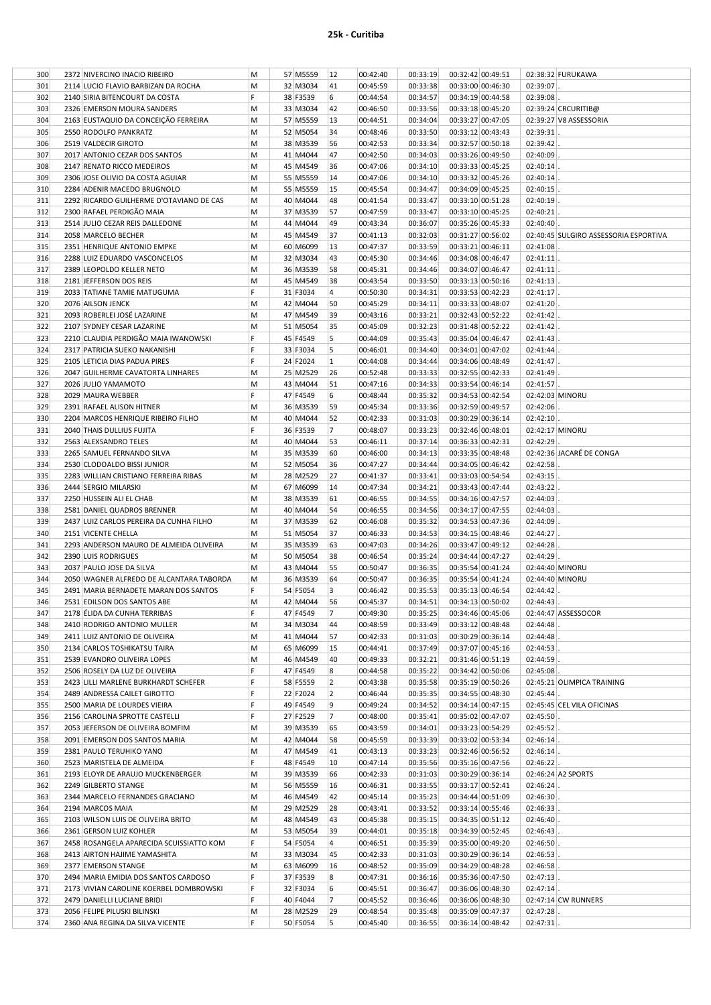| 300 | 2372 NIVERCINO INACIO RIBEIRO        | M | 57 M5559 | 12 | 00:42:40 | 00:33:19 | 00:32:42 00:49:51 |                   |          | 02:38:32 FURUKAWA    |
|-----|--------------------------------------|---|----------|----|----------|----------|-------------------|-------------------|----------|----------------------|
| 301 | 2114 LUCIO FLAVIO BARBIZAN DA ROCHA  | M | 32 M3034 | 41 | 00:45:59 | 00:33:38 | 00:33:00 00:46:30 |                   | 02:39:07 |                      |
| 302 | 2140 SIRIA BITENCOURT DA COSTA       |   | 38 F3539 | 6  | 00:44:54 | 00:34:57 |                   | 00:34:19 00:44:58 | 02:39:08 |                      |
| 303 | 2326 EMERSON MOURA SANDERS           | M | 33 M3034 | 42 | 00:46:50 | 00:33:56 | 00:33:18 00:45:20 |                   |          | 02:39:24 CRCURITIB@  |
| 304 | 2163 EUSTAQUIO DA CONCEIÇÃO FERREIRA | M | 57 M5559 | 13 | 00:44:51 | 00:34:04 | 00:33:27 00:47:05 |                   |          | 02:39:27 V8 ASSESSOF |
| 305 | 2550 RODOLFO PANKRATZ                | M | 52 M5054 | 34 | 00:48:46 | 00:33:50 | 00:33:12 00:43:43 |                   | 02:39:31 |                      |
| 306 | 2519 VALDECIR GIROTO                 | M | 38 M3539 | 56 | 00:42:53 | 00:33:34 | 00:32:57 00:50:18 |                   | 02:39:42 |                      |
| 307 | 2017 ANTONIO CEZAR DOS SANTOS        | M | 41 M4044 | 47 | 00:42:50 | 00:34:03 | 00:33:26 00:49:50 |                   | 02:40:09 |                      |
| 308 | 2147 RENATO RICCO MEDEIROS           | M | 45 M4549 | 36 | 00:47:06 | 00:34:10 | 00:33:33 00:45:25 |                   | 02:40:14 |                      |
| 309 | 2306 JOSE OLIVIO DA COSTA AGUIAR     | M | 55 M5559 | 14 | 00:47:06 | 00:34:10 | 00:33:32 00:45:26 |                   | 02:40:14 |                      |
| 310 | 2284 ADENIR MACEDO BRUGNOLO          | M | 55 M5559 | 15 | 00:45:54 | 00:34:47 | 00:34:09 00:45:25 |                   | 02:40:15 |                      |
|     |                                      |   |          |    |          |          |                   |                   |          |                      |

| 303 | 2326 EMERSON MOURA SANDERS               | M  | 33 M3034 | 42             | 00:46:50 | 00:33:56 | 00:33:18 00:45:20 |                   |                 | 02:39:24 CRCURITIB@                   |
|-----|------------------------------------------|----|----------|----------------|----------|----------|-------------------|-------------------|-----------------|---------------------------------------|
| 304 | 2163 EUSTAQUIO DA CONCEIÇÃO FERREIRA     | M  | 57 M5559 | 13             | 00:44:51 | 00:34:04 | 00:33:27 00:47:05 |                   |                 | 02:39:27 V8 ASSESSORIA                |
| 305 | 2550 RODOLFO PANKRATZ                    | M  | 52 M5054 | 34             | 00:48:46 | 00:33:50 | 00:33:12 00:43:43 |                   | 02:39:31        |                                       |
| 306 | 2519 VALDECIR GIROTO                     | М  | 38 M3539 | 56             | 00:42:53 | 00:33:34 | 00:32:57 00:50:18 |                   | 02:39:42        |                                       |
| 307 | 2017 ANTONIO CEZAR DOS SANTOS            | M  | 41 M4044 | 47             | 00:42:50 | 00:34:03 | 00:33:26 00:49:50 |                   | 02:40:09        |                                       |
| 308 | 2147 RENATO RICCO MEDEIROS               | M  | 45 M4549 | 36             | 00:47:06 | 00:34:10 | 00:33:33 00:45:25 |                   | 02:40:14        |                                       |
|     |                                          |    |          |                |          |          |                   |                   |                 |                                       |
| 309 | 2306 JOSE OLIVIO DA COSTA AGUIAR         | M  | 55 M5559 | 14             | 00:47:06 | 00:34:10 | 00:33:32 00:45:26 |                   | 02:40:14        |                                       |
| 310 | 2284 ADENIR MACEDO BRUGNOLO              | M  | 55 M5559 | 15             | 00:45:54 | 00:34:47 | 00:34:09 00:45:25 |                   | 02:40:15        |                                       |
| 311 | 2292 RICARDO GUILHERME D'OTAVIANO DE CAS | М  | 40 M4044 | 48             | 00:41:54 | 00:33:47 | 00:33:10 00:51:28 |                   | 02:40:19        |                                       |
| 312 | 2300 RAFAEL PERDIGÃO MAIA                | M  | 37 M3539 | 57             | 00:47:59 | 00:33:47 | 00:33:10 00:45:25 |                   | 02:40:21        |                                       |
| 313 | 2514 JULIO CEZAR REIS DALLEDONE          | M  | 44 M4044 | 49             | 00:43:34 | 00:36:07 | 00:35:26 00:45:33 |                   | 02:40:40        |                                       |
| 314 | 2058 MARCELO BECHER                      | M  | 45 M4549 | 37             | 00:41:13 | 00:32:03 | 00:31:27 00:56:02 |                   |                 | 02:40:45 SULGIRO ASSESSORIA ESPORTIVA |
| 315 | 2351 HENRIQUE ANTONIO EMPKE              | M  | 60 M6099 | 13             | 00:47:37 | 00:33:59 | 00:33:21 00:46:11 |                   | 02:41:08        |                                       |
| 316 | 2288 LUIZ EDUARDO VASCONCELOS            | М  | 32 M3034 | 43             | 00:45:30 | 00:34:46 | 00:34:08 00:46:47 |                   | 02:41:11        |                                       |
| 317 | 2389 LEOPOLDO KELLER NETO                | M  | 36 M3539 | 58             | 00:45:31 | 00:34:46 | 00:34:07 00:46:47 |                   | 02:41:11        |                                       |
| 318 | 2181 JEFFERSON DOS REIS                  | M  | 45 M4549 | 38             | 00:43:54 | 00:33:50 | 00:33:13 00:50:16 |                   | 02:41:13        |                                       |
| 319 | 2033 TATIANE TAMIE MATUGUMA              | F  | 31 F3034 | 4              | 00:50:30 | 00:34:31 | 00:33:53 00:42:23 |                   | 02:41:17        |                                       |
| 320 | 2076 AILSON JENCK                        | M  | 42 M4044 | 50             | 00:45:29 | 00:34:11 | 00:33:33 00:48:07 |                   | 02:41:20        |                                       |
| 321 | 2093 ROBERLEI JOSÉ LAZARINE              | М  | 47 M4549 | 39             | 00:43:16 | 00:33:21 | 00:32:43 00:52:22 |                   | 02:41:42        |                                       |
|     |                                          |    |          |                |          |          |                   |                   |                 |                                       |
| 322 | 2107 SYDNEY CESAR LAZARINE               | M  | 51 M5054 | 35             | 00:45:09 | 00:32:23 | 00:31:48 00:52:22 |                   | 02:41:42        |                                       |
| 323 | 2210 CLAUDIA PERDIGÃO MAIA IWANOWSKI     | F  | 45 F4549 | 5              | 00:44:09 | 00:35:43 | 00:35:04 00:46:47 |                   | 02:41:43        |                                       |
| 324 | 2317 PATRICIA SUEKO NAKANISHI            | F  | 33 F3034 | 5              | 00:46:01 | 00:34:40 | 00:34:01 00:47:02 |                   | 02:41:44        |                                       |
| 325 | 2105 LETICIA DIAS PADUA PIRES            | F  | 24 F2024 | $\mathbf{1}$   | 00:44:08 | 00:34:44 | 00:34:06 00:48:49 |                   | 02:41:47        |                                       |
| 326 | 2047 GUILHERME CAVATORTA LINHARES        | М  | 25 M2529 | 26             | 00:52:48 | 00:33:33 | 00:32:55 00:42:33 |                   | 02:41:49        |                                       |
| 327 | 2026 JULIO YAMAMOTO                      | M  | 43 M4044 | 51             | 00:47:16 | 00:34:33 | 00:33:54 00:46:14 |                   | 02:41:57        |                                       |
| 328 | 2029 MAURA WEBBER                        | F  | 47 F4549 | 6              | 00:48:44 | 00:35:32 | 00:34:53 00:42:54 |                   | 02:42:03 MINORU |                                       |
| 329 | 2391 RAFAEL ALISON HITNER                | M  | 36 M3539 | 59             | 00:45:34 | 00:33:36 | 00:32:59 00:49:57 |                   | 02:42:06        |                                       |
| 330 | 2204 MARCOS HENRIQUE RIBEIRO FILHO       | M  | 40 M4044 | 52             | 00:42:33 | 00:31:03 | 00:30:29 00:36:14 |                   | $02:42:10$ .    |                                       |
| 331 | 2040 THAIS DULLIUS FUJITA                | F  | 36 F3539 | 7              | 00:48:07 | 00:33:23 | 00:32:46 00:48:01 |                   | 02:42:17 MINORU |                                       |
| 332 | 2563 ALEXSANDRO TELES                    | M  | 40 M4044 | 53             | 00:46:11 | 00:37:14 | 00:36:33 00:42:31 |                   | 02:42:29        |                                       |
| 333 | 2265 SAMUEL FERNANDO SILVA               | M  | 35 M3539 | 60             | 00:46:00 | 00:34:13 | 00:33:35 00:48:48 |                   |                 | 02:42:36 JACARÉ DE CONGA              |
|     |                                          |    | 52 M5054 | 36             |          | 00:34:44 |                   |                   |                 |                                       |
| 334 | 2530 CLODOALDO BISSI JUNIOR              | M  |          |                | 00:47:27 |          | 00:34:05 00:46:42 |                   | 02:42:58        |                                       |
| 335 | 2283 WILLIAN CRISTIANO FERREIRA RIBAS    | M  | 28 M2529 | 27             | 00:41:37 | 00:33:41 | 00:33:03 00:54:54 |                   | 02:43:15        |                                       |
| 336 | 2444 SERGIO MILARSKI                     | М  | 67 M6099 | 14             | 00:47:34 | 00:34:21 | 00:33:43 00:47:44 |                   | 02:43:22        |                                       |
| 337 | 2250 HUSSEIN ALI EL CHAB                 | M  | 38 M3539 | 61             | 00:46:55 | 00:34:55 | 00:34:16 00:47:57 |                   | 02:44:03        |                                       |
| 338 | 2581 DANIEL QUADROS BRENNER              | M  | 40 M4044 | 54             | 00:46:55 | 00:34:56 | 00:34:17 00:47:55 |                   | 02:44:03        |                                       |
| 339 | 2437 LUIZ CARLOS PEREIRA DA CUNHA FILHO  | M  | 37 M3539 | 62             | 00:46:08 | 00:35:32 | 00:34:53 00:47:36 |                   | 02:44:09        |                                       |
| 340 | 2151 VICENTE CHELLA                      | M  | 51 M5054 | 37             | 00:46:33 | 00:34:53 | 00:34:15 00:48:46 |                   | 02:44:27        |                                       |
| 341 | 2293 ANDERSON MAURO DE ALMEIDA OLIVEIRA  | M  | 35 M3539 | 63             | 00:47:03 | 00:34:26 | 00:33:47 00:49:12 |                   | 02:44:28        |                                       |
| 342 | 2390 LUIS RODRIGUES                      | M  | 50 M5054 | 38             | 00:46:54 | 00:35:24 | 00:34:44 00:47:27 |                   | 02:44:29        |                                       |
| 343 | 2037 PAULO JOSE DA SILVA                 | M  | 43 M4044 | 55             | 00:50:47 | 00:36:35 | 00:35:54 00:41:24 |                   | 02:44:40 MINORU |                                       |
| 344 | 2050 WAGNER ALFREDO DE ALCANTARA TABORDA | M  | 36 M3539 | 64             | 00:50:47 | 00:36:35 | 00:35:54 00:41:24 |                   | 02:44:40 MINORU |                                       |
| 345 | 2491 MARIA BERNADETE MARAN DOS SANTOS    | F  | 54 F5054 | 3              | 00:46:42 | 00:35:53 | 00:35:13 00:46:54 |                   | 02:44:42        |                                       |
| 346 |                                          |    | 42 M4044 | 56             | 00:45:37 | 00:34:51 | 00:34:13 00:50:02 |                   | 02:44:43        |                                       |
|     | 2531 EDILSON DOS SANTOS ABE              | M  |          |                |          |          |                   |                   |                 |                                       |
| 347 | 2178 ÉLIDA DA CUNHA TERRIBAS             | F. | 47 F4549 | $\overline{7}$ | 00:49:30 | 00:35:25 | 00:34:46 00:45:06 |                   |                 | 02:44:47 ASSESSOCOR                   |
| 348 | 2410 RODRIGO ANTONIO MULLER              | M  | 34 M3034 | 44             | 00:48:59 | 00:33:49 | 00:33:12 00:48:48 |                   | 02:44:48        |                                       |
| 349 | 2411 LUIZ ANTONIO DE OLIVEIRA            | M  | 41 M4044 | 57             | 00:42:33 | 00:31:03 | 00:30:29 00:36:14 |                   | 02:44:48        |                                       |
| 350 | 2134 CARLOS TOSHIKATSU TAIRA             | M  | 65 M6099 | 15             | 00:44:41 | 00:37:49 |                   | 00:37:07 00:45:16 | 02:44:53        |                                       |
| 351 | 2539 EVANDRO OLIVEIRA LOPES              | M  | 46 M4549 | 40             | 00:49:33 | 00:32:21 |                   | 00:31:46 00:51:19 | 02:44:59        |                                       |
| 352 | 2506 ROSELY DA LUZ DE OLIVEIRA           | F  | 47 F4549 | 8              | 00:44:58 | 00:35:22 | 00:34:42 00:50:06 |                   | 02:45:08        |                                       |
| 353 | 2423 LILLI MARLENE BURKHARDT SCHEFER     | F  | 58 F5559 | $\overline{2}$ | 00:43:38 | 00:35:58 |                   | 00:35:19 00:50:26 |                 | 02:45:21 OLIMPICA TRAINING            |
| 354 | 2489 ANDRESSA CAILET GIROTTO             | F  | 22 F2024 | 2              | 00:46:44 | 00:35:35 |                   | 00:34:55 00:48:30 | 02:45:44        |                                       |
| 355 | 2500 MARIA DE LOURDES VIEIRA             | F  | 49 F4549 | 9              | 00:49:24 | 00:34:52 | 00:34:14 00:47:15 |                   |                 | 02:45:45 CEL VILA OFICINAS            |
| 356 | 2156 CAROLINA SPROTTE CASTELLI           | F  | 27 F2529 | 7              | 00:48:00 | 00:35:41 | 00:35:02 00:47:07 |                   | 02:45:50        |                                       |
| 357 | 2053 JEFERSON DE OLIVEIRA BOMFIM         | M  | 39 M3539 | 65             | 00:43:59 | 00:34:01 | 00:33:23 00:54:29 |                   | 02:45:52        |                                       |
| 358 | 2091 EMERSON DOS SANTOS MARIA            |    |          | 58             | 00:45:59 |          |                   |                   | 02:46:14        |                                       |
|     |                                          | M  | 42 M4044 |                |          | 00:33:39 | 00:33:02 00:53:34 |                   |                 |                                       |
| 359 | 2381 PAULO TERUHIKO YANO                 | M  | 47 M4549 | 41             | 00:43:13 | 00:33:23 |                   | 00:32:46 00:56:52 | $02:46:14$ .    |                                       |
| 360 | 2523 MARISTELA DE ALMEIDA                | F  | 48 F4549 | 10             | 00:47:14 | 00:35:56 |                   | 00:35:16 00:47:56 | 02:46:22        |                                       |
| 361 | 2193 ELOYR DE ARAUJO MUCKENBERGER        | М  | 39 M3539 | 66             | 00:42:33 | 00:31:03 | 00:30:29 00:36:14 |                   |                 | 02:46:24 A2 SPORTS                    |
| 362 | 2249 GILBERTO STANGE                     | M  | 56 M5559 | 16             | 00:46:31 | 00:33:55 | 00:33:17 00:52:41 |                   | 02:46:24        |                                       |
| 363 | 2344 MARCELO FERNANDES GRACIANO          | M  | 46 M4549 | 42             | 00:45:14 | 00:35:23 | 00:34:44 00:51:09 |                   | 02:46:30        |                                       |
| 364 | 2194 MARCOS MAIA                         | M  | 29 M2529 | 28             | 00:43:41 | 00:33:52 |                   | 00:33:14 00:55:46 | 02:46:33        |                                       |
| 365 | 2103 WILSON LUIS DE OLIVEIRA BRITO       | M  | 48 M4549 | 43             | 00:45:38 | 00:35:15 | 00:34:35 00:51:12 |                   | 02:46:40        |                                       |
| 366 | 2361 GERSON LUIZ KOHLER                  | M  | 53 M5054 | 39             | 00:44:01 | 00:35:18 | 00:34:39 00:52:45 |                   | 02:46:43        |                                       |
| 367 | 2458 ROSANGELA APARECIDA SCUISSIATTO KOM | F  | 54 F5054 | 4              | 00:46:51 | 00:35:39 | 00:35:00 00:49:20 |                   | 02:46:50        |                                       |
| 368 | 2413 AIRTON HAJIME YAMASHITA             | M  | 33 M3034 | 45             | 00:42:33 | 00:31:03 | 00:30:29 00:36:14 |                   | 02:46:53        |                                       |
|     |                                          |    |          |                |          |          |                   | 00:34:29 00:48:28 |                 |                                       |
| 369 | 2377 EMERSON STANGE                      | M  | 63 M6099 | 16             | 00:48:52 | 00:35:09 |                   |                   | 02:46:58        |                                       |
| 370 | 2494 MARIA EMIDIA DOS SANTOS CARDOSO     | F  | 37 F3539 | 8              | 00:47:31 | 00:36:16 |                   | 00:35:36 00:47:50 | 02:47:13        |                                       |
| 371 | 2173 VIVIAN CAROLINE KOERBEL DOMBROWSKI  | F  | 32 F3034 | 6              | 00:45:51 | 00:36:47 |                   | 00:36:06 00:48:30 | $02:47:14$ .    |                                       |
| 372 | 2479 DANIELLI LUCIANE BRIDI              | F  | 40 F4044 | 7              | 00:45:52 | 00:36:46 |                   | 00:36:06 00:48:30 |                 | 02:47:14 CW RUNNERS                   |
| 373 | 2056 FELIPE PILUSKI BILINSKI             | M  | 28 M2529 | 29             | 00:48:54 | 00:35:48 | 00:35:09 00:47:37 |                   | 02:47:28        |                                       |
| 374 | 2360 ANA REGINA DA SILVA VICENTE         | F  | 50 F5054 | 5              | 00:45:40 | 00:36:55 | 00:36:14 00:48:42 |                   | $02:47:31$ .    |                                       |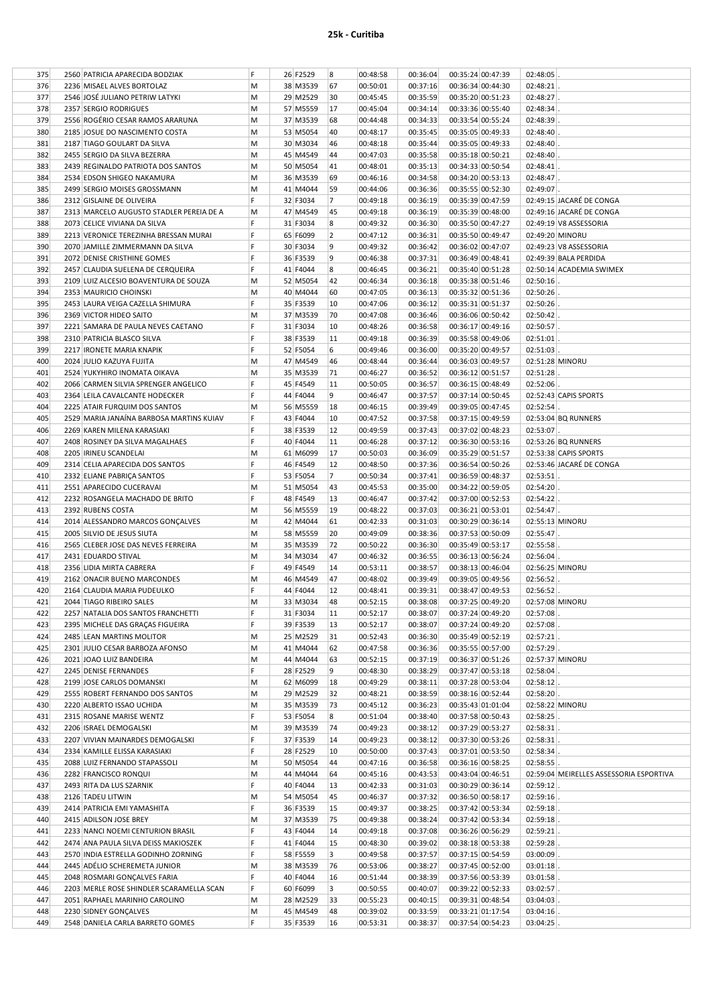|  | 25k - Curitiba |
|--|----------------|
|  |                |

| 375 | 2560 PATRICIA APARECIDA BODZIAK          | F | 26 F2529 | 8  | 00:48:58 | 00:36:04 | 00:35:24 00:47:39 | 02:48:05     |                                         |
|-----|------------------------------------------|---|----------|----|----------|----------|-------------------|--------------|-----------------------------------------|
| 376 | 2236 MISAEL ALVES BORTOLAZ               | M | 38 M3539 | 67 | 00:50:01 | 00:37:16 | 00:36:34 00:44:30 | 02:48:21     |                                         |
| 377 | 2546 JOSÉ JULIANO PETRIW LATYKI          | M | 29 M2529 | 30 | 00:45:45 | 00:35:59 | 00:35:20 00:51:23 | 02:48:27     |                                         |
|     |                                          |   |          |    |          |          |                   |              |                                         |
| 378 | 2357 SERGIO RODRIGUES                    | M | 57 M5559 | 17 | 00:45:04 | 00:34:14 | 00:33:36 00:55:40 | 02:48:34     |                                         |
| 379 | 2556 ROGÉRIO CESAR RAMOS ARARUNA         | М | 37 M3539 | 68 | 00:44:48 | 00:34:33 | 00:33:54 00:55:24 | 02:48:39     |                                         |
| 380 | 2185 JOSUE DO NASCIMENTO COSTA           | М | 53 M5054 | 40 | 00:48:17 | 00:35:45 | 00:35:05 00:49:33 | 02:48:40     |                                         |
|     |                                          | M | 30 M3034 | 46 |          |          |                   |              |                                         |
| 381 | 2187 TIAGO GOULART DA SILVA              |   |          |    | 00:48:18 | 00:35:44 | 00:35:05 00:49:33 | 02:48:40     |                                         |
| 382 | 2455 SERGIO DA SILVA BEZERRA             | M | 45 M4549 | 44 | 00:47:03 | 00:35:58 | 00:35:18 00:50:21 | 02:48:40     |                                         |
| 383 | 2439 REGINALDO PATRIOTA DOS SANTOS       | M | 50 M5054 | 41 | 00:48:01 | 00:35:13 | 00:34:33 00:50:54 | 02:48:41     |                                         |
| 384 | 2534 EDSON SHIGEO NAKAMURA               | М | 36 M3539 | 69 | 00:46:16 | 00:34:58 | 00:34:20 00:53:13 | 02:48:47     |                                         |
|     |                                          |   |          |    |          |          |                   |              |                                         |
| 385 | 2499 SERGIO MOISES GROSSMANN             | M | 41 M4044 | 59 | 00:44:06 | 00:36:36 | 00:35:55 00:52:30 | 02:49:07     |                                         |
| 386 | 2312 GISLAINE DE OLIVEIRA                | F | 32 F3034 | 7  | 00:49:18 | 00:36:19 | 00:35:39 00:47:59 |              | 02:49:15 JACARÉ DE CONGA                |
| 387 | 2313 MARCELO AUGUSTO STADLER PEREIA DE A | M | 47 M4549 | 45 | 00:49:18 | 00:36:19 | 00:35:39 00:48:00 |              | 02:49:16 JACARÉ DE CONGA                |
| 388 | 2073 CELICE VIVIANA DA SILVA             | F | 31 F3034 | 8  | 00:49:32 | 00:36:30 | 00:35:50 00:47:27 |              | 02:49:19 V8 ASSESSORIA                  |
|     |                                          | F |          |    |          |          |                   |              |                                         |
| 389 | 2213 VERONICE TEREZINHA BRESSAN MURAI    |   | 65 F6099 | 2  | 00:47:12 | 00:36:31 | 00:35:50 00:49:47 |              | 02:49:20 MINORU                         |
| 390 | 2070 JAMILLE ZIMMERMANN DA SILVA         | F | 30 F3034 | 9  | 00:49:32 | 00:36:42 | 00:36:02 00:47:07 |              | 02:49:23 V8 ASSESSORIA                  |
| 391 | 2072 DENISE CRISTHINE GOMES              | F | 36 F3539 | 9  | 00:46:38 | 00:37:31 | 00:36:49 00:48:41 |              | 02:49:39 BALA PERDIDA                   |
| 392 | 2457 CLAUDIA SUELENA DE CERQUEIRA        | F | 41 F4044 | 8  | 00:46:45 | 00:36:21 | 00:35:40 00:51:28 |              | 02:50:14 ACADEMIA SWIMEX                |
|     |                                          |   |          |    |          |          |                   |              |                                         |
| 393 | 2109 LUIZ ALCESIO BOAVENTURA DE SOUZA    | M | 52 M5054 | 42 | 00:46:34 | 00:36:18 | 00:35:38 00:51:46 | 02:50:16     |                                         |
| 394 | 2353 MAURICIO CHOINSKI                   | М | 40 M4044 | 60 | 00:47:05 | 00:36:13 | 00:35:32 00:51:36 | $02:50:26$ . |                                         |
| 395 | 2453 LAURA VEIGA CAZELLA SHIMURA         | F | 35 F3539 | 10 | 00:47:06 | 00:36:12 | 00:35:31 00:51:37 | 02:50:26     |                                         |
| 396 | 2369 VICTOR HIDEO SAITO                  | M | 37 M3539 | 70 | 00:47:08 | 00:36:46 | 00:36:06 00:50:42 | 02:50:42     |                                         |
|     |                                          | F |          |    |          |          |                   |              |                                         |
| 397 | 2221 SAMARA DE PAULA NEVES CAETANO       |   | 31 F3034 | 10 | 00:48:26 | 00:36:58 | 00:36:17 00:49:16 | 02:50:57     |                                         |
| 398 | 2310 PATRICIA BLASCO SILVA               | F | 38 F3539 | 11 | 00:49:18 | 00:36:39 | 00:35:58 00:49:06 | 02:51:01     |                                         |
| 399 | 2217 IRONETE MARIA KNAPIK                | F | 52 F5054 | 6  | 00:49:46 | 00:36:00 | 00:35:20 00:49:57 | 02:51:03     |                                         |
| 400 | 2024 JULIO KAZUYA FUJITA                 | M | 47 M4549 | 46 | 00:48:44 | 00:36:44 | 00:36:03 00:49:57 |              | 02:51:28 MINORU                         |
|     |                                          |   |          |    |          |          |                   |              |                                         |
| 401 | 2524 YUKYHIRO INOMATA OIKAVA             | M | 35 M3539 | 71 | 00:46:27 | 00:36:52 | 00:36:12 00:51:57 | 02:51:28     |                                         |
| 402 | 2066 CARMEN SILVIA SPRENGER ANGELICO     | F | 45 F4549 | 11 | 00:50:05 | 00:36:57 | 00:36:15 00:48:49 | 02:52:06     |                                         |
| 403 | 2364 LEILA CAVALCANTE HODECKER           | F | 44 F4044 | 9  | 00:46:47 | 00:37:57 | 00:37:14 00:50:45 |              | 02:52:43 CAPIS SPORTS                   |
| 404 | 2225 ATAIR FURQUIM DOS SANTOS            | M | 56 M5559 | 18 | 00:46:15 | 00:39:49 | 00:39:05 00:47:45 | 02:52:54     |                                         |
|     |                                          |   |          |    |          |          |                   |              |                                         |
| 405 | 2529 MARIA JANAINA BARBOSA MARTINS KUIAV | F | 43 F4044 | 10 | 00:47:52 | 00:37:58 | 00:37:15 00:49:59 |              | 02:53:04 BQ RUNNERS                     |
| 406 | 2269 KAREN MILENA KARASIAKI              | F | 38 F3539 | 12 | 00:49:59 | 00:37:43 | 00:37:02 00:48:23 | 02:53:07     |                                         |
| 407 | 2408 ROSINEY DA SILVA MAGALHAES          | F | 40 F4044 | 11 | 00:46:28 | 00:37:12 | 00:36:30 00:53:16 |              | 02:53:26 BQ RUNNERS                     |
| 408 | 2205 IRINEU SCANDELAI                    | M | 61 M6099 | 17 | 00:50:03 | 00:36:09 | 00:35:29 00:51:57 |              | 02:53:38 CAPIS SPORTS                   |
|     |                                          |   |          |    |          |          |                   |              |                                         |
| 409 | 2314 CELIA APARECIDA DOS SANTOS          | F | 46 F4549 | 12 | 00:48:50 | 00:37:36 | 00:36:54 00:50:26 |              | 02:53:46 JACARÉ DE CONGA                |
| 410 | 2332 ELIANE PABRIÇA SANTOS               | F | 53 F5054 | 7  | 00:50:34 | 00:37:41 | 00:36:59 00:48:37 | 02:53:51     |                                         |
| 411 | 2551 APARECIDO CUCERAVAI                 | M | 51 M5054 | 43 | 00:45:53 | 00:35:00 | 00:34:22 00:59:05 | 02:54:20     |                                         |
| 412 | 2232 ROSANGELA MACHADO DE BRITO          | F | 48 F4549 | 13 | 00:46:47 | 00:37:42 | 00:37:00 00:52:53 | 02:54:22     |                                         |
|     |                                          |   |          |    |          |          |                   |              |                                         |
| 413 | 2392 RUBENS COSTA                        | M | 56 M5559 | 19 | 00:48:22 | 00:37:03 | 00:36:21 00:53:01 | $02:54:47$ . |                                         |
| 414 | 2014 ALESSANDRO MARCOS GONÇALVES         | М | 42 M4044 | 61 | 00:42:33 | 00:31:03 | 00:30:29 00:36:14 |              | 02:55:13 MINORU                         |
| 415 | 2005 SILVIO DE JESUS SIUTA               | М | 58 M5559 | 20 | 00:49:09 | 00:38:36 | 00:37:53 00:50:09 | 02:55:47     |                                         |
| 416 | 2565 CLEBER JOSE DAS NEVES FERREIRA      | M | 35 M3539 | 72 | 00:50:22 | 00:36:30 |                   | 02:55:58     |                                         |
|     |                                          |   |          |    |          |          | 00:35:49 00:53:17 |              |                                         |
| 417 | 2431 EDUARDO STIVAL                      | M | 34 M3034 | 47 | 00:46:32 | 00:36:55 | 00:36:13 00:56:24 | 02:56:04     |                                         |
| 418 | 2356 LIDIA MIRTA CABRERA                 | F | 49 F4549 | 14 | 00:53:11 | 00:38:57 | 00:38:13 00:46:04 |              | 02:56:25 MINORU                         |
| 419 | 2162 ONACIR BUENO MARCONDES              | M | 46 M4549 | 47 | 00:48:02 | 00:39:49 | 00:39:05 00:49:56 | 02:56:52     |                                         |
| 420 | 2164 CLAUDIA MARIA PUDEULKO              |   | 44 F4044 | 12 | 00:48:41 | 00:39:31 | 00:38:47 00:49:53 | 02:56:52     |                                         |
|     |                                          |   |          |    |          |          |                   |              |                                         |
| 421 | 2044 TIAGO RIBEIRO SALES                 | M | 33 M3034 | 48 | 00:52:15 | 00:38:08 | 00:37:25 00:49:20 |              | 02:57:08 MINORU                         |
| 422 | 2257 NATALIA DOS SANTOS FRANCHETTI       | F | 31 F3034 | 11 | 00:52:17 | 00:38:07 | 00:37:24 00:49:20 | 02:57:08     |                                         |
| 423 | 2395 MICHELE DAS GRAÇAS FIGUEIRA         | F | 39 F3539 | 13 | 00:52:17 | 00:38:07 | 00:37:24 00:49:20 | $02:57:08$ . |                                         |
| 424 | 2485 LEAN MARTINS MOLITOR                | М | 25 M2529 | 31 | 00:52:43 | 00:36:30 | 00:35:49 00:52:19 | 02:57:21     |                                         |
|     |                                          |   |          |    |          |          |                   |              |                                         |
| 425 | 2301 JULIO CESAR BARBOZA AFONSO          | M | 41 M4044 | 62 | 00:47:58 | 00:36:36 | 00:35:55 00:57:00 | 02:57:29     |                                         |
| 426 | 2021 JOAO LUIZ BANDEIRA                  | M | 44 M4044 | 63 | 00:52:15 | 00:37:19 | 00:36:37 00:51:26 |              | 02:57:37 MINORU                         |
| 427 | 2245 DENISE FERNANDES                    | F | 28 F2529 | 9  | 00:48:30 | 00:38:29 | 00:37:47 00:53:18 | 02:58:04     |                                         |
| 428 | 2199 JOSE CARLOS DOMANSKI                | M | 62 M6099 | 18 | 00:49:29 | 00:38:11 | 00:37:28 00:53:04 | 02:58:12     |                                         |
| 429 |                                          |   | 29 M2529 | 32 |          | 00:38:59 |                   | $02:58:20$ . |                                         |
|     | 2555 ROBERT FERNANDO DOS SANTOS          | M |          |    | 00:48:21 |          | 00:38:16 00:52:44 |              |                                         |
| 430 | 2220 ALBERTO ISSAO UCHIDA                | М | 35 M3539 | 73 | 00:45:12 | 00:36:23 | 00:35:43 01:01:04 |              | 02:58:22 MINORU                         |
| 431 | 2315 ROSANE MARISE WENTZ                 | F | 53 F5054 | 8  | 00:51:04 | 00:38:40 | 00:37:58 00:50:43 | 02:58:25     |                                         |
| 432 | 2206 ISRAEL DEMOGALSKI                   | M | 39 M3539 | 74 | 00:49:23 | 00:38:12 | 00:37:29 00:53:27 | 02:58:31     |                                         |
| 433 | 2207 VIVIAN MAINARDES DEMOGALSKI         | F | 37 F3539 | 14 | 00:49:23 | 00:38:12 | 00:37:30 00:53:26 | $02:58:31$ . |                                         |
|     |                                          |   |          |    |          |          |                   |              |                                         |
| 434 | 2334 KAMILLE ELISSA KARASIAKI            | F | 28 F2529 | 10 | 00:50:00 | 00:37:43 | 00:37:01 00:53:50 | 02:58:34     |                                         |
| 435 | 2088 LUIZ FERNANDO STAPASSOLI            | М | 50 M5054 | 44 | 00:47:16 | 00:36:58 | 00:36:16 00:58:25 | 02:58:55     |                                         |
| 436 | 2282 FRANCISCO RONQUI                    | M | 44 M4044 | 64 | 00:45:16 | 00:43:53 | 00:43:04 00:46:51 |              | 02:59:04 MEIRELLES ASSESSORIA ESPORTIVA |
| 437 | 2493 RITA DA LUS SZARNIK                 | F | 40 F4044 | 13 | 00:42:33 | 00:31:03 | 00:30:29 00:36:14 | 02:59:12     |                                         |
|     |                                          |   |          |    |          |          |                   |              |                                         |
| 438 | 2126 TADEU LITWIN                        | М | 54 M5054 | 45 | 00:46:37 | 00:37:32 | 00:36:50 00:58:17 | 02:59:16     |                                         |
| 439 | 2414 PATRICIA EMI YAMASHITA              | F | 36 F3539 | 15 | 00:49:37 | 00:38:25 | 00:37:42 00:53:34 | 02:59:18     |                                         |
| 440 | 2415 ADILSON JOSE BREY                   | М | 37 M3539 | 75 | 00:49:38 | 00:38:24 | 00:37:42 00:53:34 | 02:59:18     |                                         |
| 441 | 2233 NANCI NOEMI CENTURION BRASIL        | F | 43 F4044 | 14 | 00:49:18 | 00:37:08 | 00:36:26 00:56:29 | 02:59:21     |                                         |
|     |                                          |   |          |    |          |          |                   |              |                                         |
| 442 | 2474 ANA PAULA SILVA DEISS MAKIOSZEK     | F | 41 F4044 | 15 | 00:48:30 | 00:39:02 | 00:38:18 00:53:38 | 02:59:28     |                                         |
| 443 | 2570 INDIA ESTRELLA GODINHO ZORNING      | F | 58 F5559 | 3  | 00:49:58 | 00:37:57 | 00:37:15 00:54:59 | 03:00:09     |                                         |
| 444 | 2445 ADÉLIO SCHEREMETA JUNIOR            | M | 38 M3539 | 76 | 00:53:06 | 00:38:27 | 00:37:45 00:52:00 | 03:01:18     |                                         |
| 445 | 2048 ROSMARI GONÇALVES FARIA             | F | 40 F4044 | 16 | 00:51:44 | 00:38:39 | 00:37:56 00:53:39 | 03:01:58     |                                         |
|     |                                          | F |          |    |          |          |                   |              |                                         |
| 446 | 2203 MERLE ROSE SHINDLER SCARAMELLA SCAN |   | 60 F6099 | 3  | 00:50:55 | 00:40:07 | 00:39:22 00:52:33 | $03:02:57$ . |                                         |
| 447 | 2051 RAPHAEL MARINHO CAROLINO            | M | 28 M2529 | 33 | 00:55:23 | 00:40:15 | 00:39:31 00:48:54 | 03:04:03     |                                         |
|     |                                          |   |          |    |          |          |                   |              |                                         |
| 448 | 2230 SIDNEY GONÇALVES                    | M | 45 M4549 | 48 | 00:39:02 | 00:33:59 | 00:33:21 01:17:54 | $03:04:16$ . |                                         |
| 449 | 2548 DANIELA CARLA BARRETO GOMES         | F | 35 F3539 | 16 | 00:53:31 | 00:38:37 | 00:37:54 00:54:23 | $03:04:25$ . |                                         |